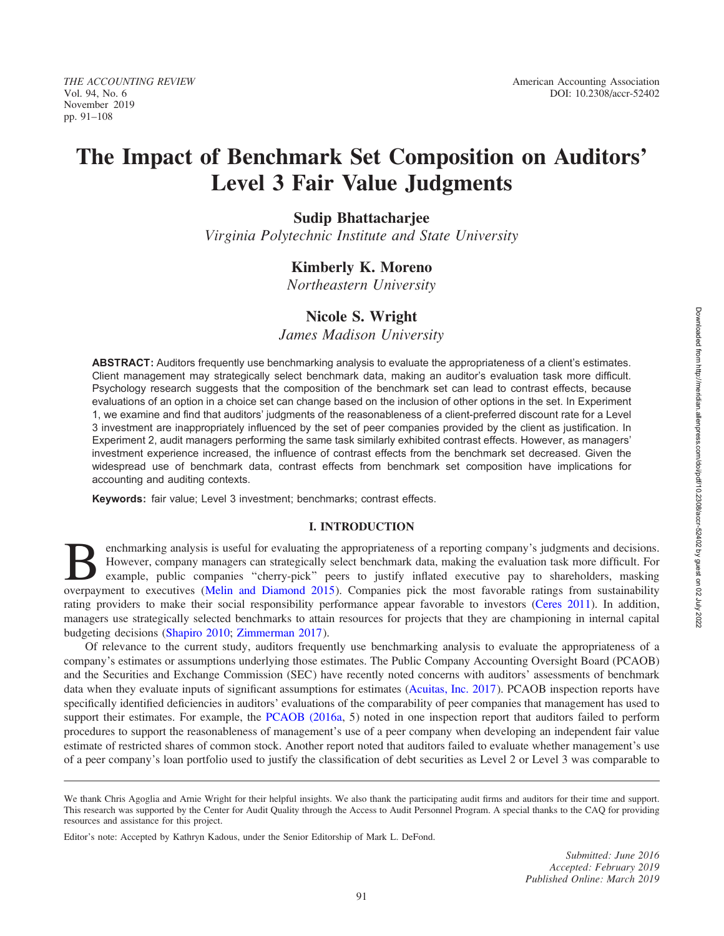Downloaded from http://meridian.allenpress.com/doi/pdf/10.2308/acct-52402 by guest on 02 July 2022 Downloaded from http://meridian.allenpress.com/doi/pdf/10.2308/accr-52402 by guest on 02 July 2022

# The Impact of Benchmark Set Composition on Auditors' Level 3 Fair Value Judgments

Sudip Bhattacharjee

Virginia Polytechnic Institute and State University

# Kimberly K. Moreno

Northeastern University

# Nicole S. Wright

James Madison University

ABSTRACT: Auditors frequently use benchmarking analysis to evaluate the appropriateness of a client's estimates. Client management may strategically select benchmark data, making an auditor's evaluation task more difficult. Psychology research suggests that the composition of the benchmark set can lead to contrast effects, because evaluations of an option in a choice set can change based on the inclusion of other options in the set. In Experiment 1, we examine and find that auditors' judgments of the reasonableness of a client-preferred discount rate for a Level 3 investment are inappropriately influenced by the set of peer companies provided by the client as justification. In Experiment 2, audit managers performing the same task similarly exhibited contrast effects. However, as managers' investment experience increased, the influence of contrast effects from the benchmark set decreased. Given the widespread use of benchmark data, contrast effects from benchmark set composition have implications for accounting and auditing contexts.

Keywords: fair value; Level 3 investment; benchmarks; contrast effects.

#### I. INTRODUCTION

EX enchmarking analysis is useful for evaluating the appropriateness of a reporting company's judgments and decisions.<br>
However, company managers can strategically select benchmark data, making the evaluation task more dif However, company managers can strategically select benchmark data, making the evaluation task more difficult. For example, public companies ''cherry-pick'' peers to justify inflated executive pay to shareholders, masking overpayment to executives [\(Melin and Diamond 2015](#page-17-0)). Companies pick the most favorable ratings from sustainability rating providers to make their social responsibility performance appear favorable to investors ([Ceres 2011\)](#page-16-0). In addition, managers use strategically selected benchmarks to attain resources for projects that they are championing in internal capital budgeting decisions [\(Shapiro 2010](#page-17-0); [Zimmerman 2017](#page-17-0)).

Of relevance to the current study, auditors frequently use benchmarking analysis to evaluate the appropriateness of a company's estimates or assumptions underlying those estimates. The Public Company Accounting Oversight Board (PCAOB) and the Securities and Exchange Commission (SEC) have recently noted concerns with auditors' assessments of benchmark data when they evaluate inputs of significant assumptions for estimates ([Acuitas, Inc. 2017](#page-16-0)). PCAOB inspection reports have specifically identified deficiencies in auditors' evaluations of the comparability of peer companies that management has used to support their estimates. For example, the [PCAOB \(2016a](#page-17-0), 5) noted in one inspection report that auditors failed to perform procedures to support the reasonableness of management's use of a peer company when developing an independent fair value estimate of restricted shares of common stock. Another report noted that auditors failed to evaluate whether management's use of a peer company's loan portfolio used to justify the classification of debt securities as Level 2 or Level 3 was comparable to

Editor's note: Accepted by Kathryn Kadous, under the Senior Editorship of Mark L. DeFond.

We thank Chris Agoglia and Arnie Wright for their helpful insights. We also thank the participating audit firms and auditors for their time and support. This research was supported by the Center for Audit Quality through the Access to Audit Personnel Program. A special thanks to the CAQ for providing resources and assistance for this project.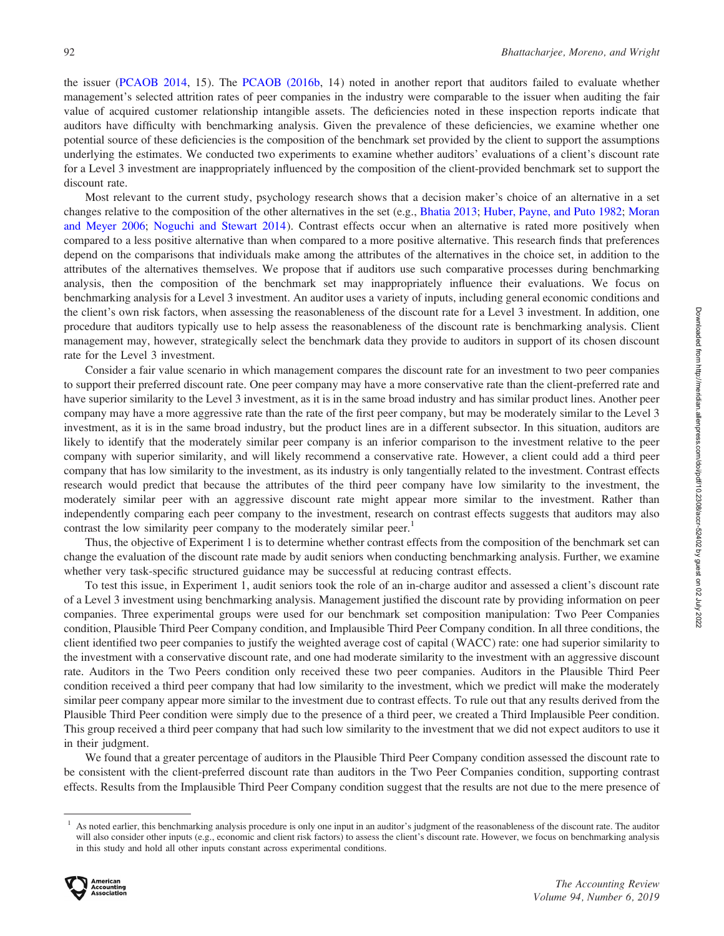the issuer ([PCAOB 2014](#page-17-0), 15). The [PCAOB \(2016b,](#page-17-0) 14) noted in another report that auditors failed to evaluate whether management's selected attrition rates of peer companies in the industry were comparable to the issuer when auditing the fair value of acquired customer relationship intangible assets. The deficiencies noted in these inspection reports indicate that auditors have difficulty with benchmarking analysis. Given the prevalence of these deficiencies, we examine whether one potential source of these deficiencies is the composition of the benchmark set provided by the client to support the assumptions underlying the estimates. We conducted two experiments to examine whether auditors' evaluations of a client's discount rate for a Level 3 investment are inappropriately influenced by the composition of the client-provided benchmark set to support the discount rate.

Most relevant to the current study, psychology research shows that a decision maker's choice of an alternative in a set changes relative to the composition of the other alternatives in the set (e.g., [Bhatia 2013;](#page-16-0) [Huber, Payne, and Puto 1982](#page-17-0); [Moran](#page-17-0) [and Meyer 2006;](#page-17-0) [Noguchi and Stewart 2014](#page-17-0)). Contrast effects occur when an alternative is rated more positively when compared to a less positive alternative than when compared to a more positive alternative. This research finds that preferences depend on the comparisons that individuals make among the attributes of the alternatives in the choice set, in addition to the attributes of the alternatives themselves. We propose that if auditors use such comparative processes during benchmarking analysis, then the composition of the benchmark set may inappropriately influence their evaluations. We focus on benchmarking analysis for a Level 3 investment. An auditor uses a variety of inputs, including general economic conditions and the client's own risk factors, when assessing the reasonableness of the discount rate for a Level 3 investment. In addition, one procedure that auditors typically use to help assess the reasonableness of the discount rate is benchmarking analysis. Client management may, however, strategically select the benchmark data they provide to auditors in support of its chosen discount rate for the Level 3 investment.

Consider a fair value scenario in which management compares the discount rate for an investment to two peer companies to support their preferred discount rate. One peer company may have a more conservative rate than the client-preferred rate and have superior similarity to the Level 3 investment, as it is in the same broad industry and has similar product lines. Another peer company may have a more aggressive rate than the rate of the first peer company, but may be moderately similar to the Level 3 investment, as it is in the same broad industry, but the product lines are in a different subsector. In this situation, auditors are likely to identify that the moderately similar peer company is an inferior comparison to the investment relative to the peer company with superior similarity, and will likely recommend a conservative rate. However, a client could add a third peer company that has low similarity to the investment, as its industry is only tangentially related to the investment. Contrast effects research would predict that because the attributes of the third peer company have low similarity to the investment, the moderately similar peer with an aggressive discount rate might appear more similar to the investment. Rather than independently comparing each peer company to the investment, research on contrast effects suggests that auditors may also contrast the low similarity peer company to the moderately similar peer.<sup>1</sup>

Thus, the objective of Experiment 1 is to determine whether contrast effects from the composition of the benchmark set can change the evaluation of the discount rate made by audit seniors when conducting benchmarking analysis. Further, we examine whether very task-specific structured guidance may be successful at reducing contrast effects.

To test this issue, in Experiment 1, audit seniors took the role of an in-charge auditor and assessed a client's discount rate of a Level 3 investment using benchmarking analysis. Management justified the discount rate by providing information on peer companies. Three experimental groups were used for our benchmark set composition manipulation: Two Peer Companies condition, Plausible Third Peer Company condition, and Implausible Third Peer Company condition. In all three conditions, the client identified two peer companies to justify the weighted average cost of capital (WACC) rate: one had superior similarity to the investment with a conservative discount rate, and one had moderate similarity to the investment with an aggressive discount rate. Auditors in the Two Peers condition only received these two peer companies. Auditors in the Plausible Third Peer condition received a third peer company that had low similarity to the investment, which we predict will make the moderately similar peer company appear more similar to the investment due to contrast effects. To rule out that any results derived from the Plausible Third Peer condition were simply due to the presence of a third peer, we created a Third Implausible Peer condition. This group received a third peer company that had such low similarity to the investment that we did not expect auditors to use it in their judgment.

We found that a greater percentage of auditors in the Plausible Third Peer Company condition assessed the discount rate to be consistent with the client-preferred discount rate than auditors in the Two Peer Companies condition, supporting contrast effects. Results from the Implausible Third Peer Company condition suggest that the results are not due to the mere presence of

As noted earlier, this benchmarking analysis procedure is only one input in an auditor's judgment of the reasonableness of the discount rate. The auditor will also consider other inputs (e.g., economic and client risk factors) to assess the client's discount rate. However, we focus on benchmarking analysis in this study and hold all other inputs constant across experimental conditions.

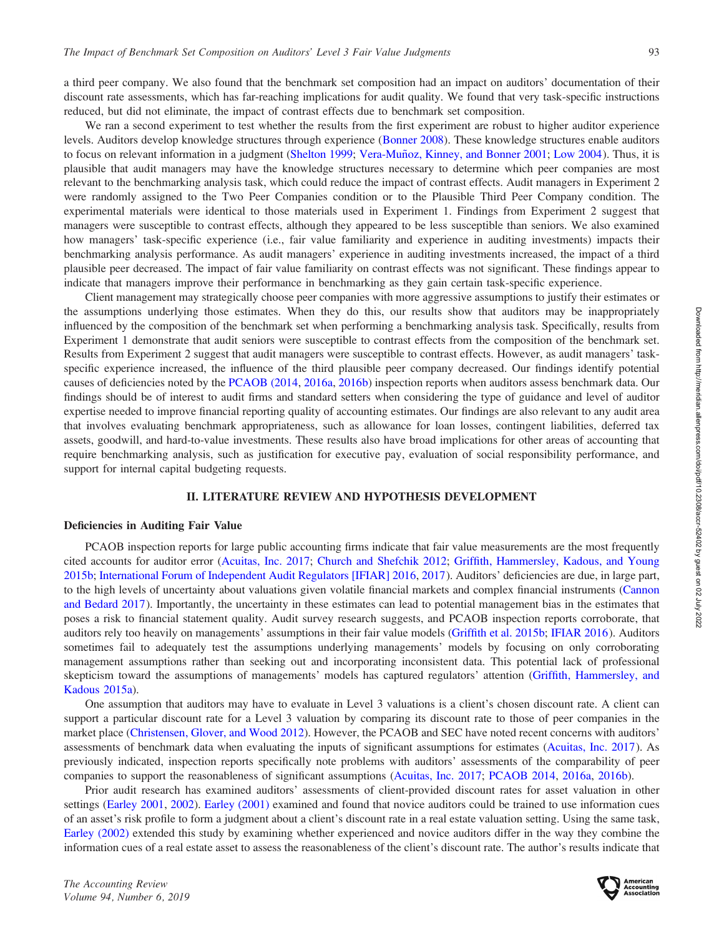a third peer company. We also found that the benchmark set composition had an impact on auditors' documentation of their discount rate assessments, which has far-reaching implications for audit quality. We found that very task-specific instructions reduced, but did not eliminate, the impact of contrast effects due to benchmark set composition.

We ran a second experiment to test whether the results from the first experiment are robust to higher auditor experience levels. Auditors develop knowledge structures through experience [\(Bonner 2008\)](#page-16-0). These knowledge structures enable auditors to focus on relevant information in a judgment ([Shelton 1999;](#page-17-0) Vera-Muñoz, Kinney, and Bonner 2001; [Low 2004](#page-17-0)). Thus, it is plausible that audit managers may have the knowledge structures necessary to determine which peer companies are most relevant to the benchmarking analysis task, which could reduce the impact of contrast effects. Audit managers in Experiment 2 were randomly assigned to the Two Peer Companies condition or to the Plausible Third Peer Company condition. The experimental materials were identical to those materials used in Experiment 1. Findings from Experiment 2 suggest that managers were susceptible to contrast effects, although they appeared to be less susceptible than seniors. We also examined how managers' task-specific experience (i.e., fair value familiarity and experience in auditing investments) impacts their benchmarking analysis performance. As audit managers' experience in auditing investments increased, the impact of a third plausible peer decreased. The impact of fair value familiarity on contrast effects was not significant. These findings appear to indicate that managers improve their performance in benchmarking as they gain certain task-specific experience.

Client management may strategically choose peer companies with more aggressive assumptions to justify their estimates or the assumptions underlying those estimates. When they do this, our results show that auditors may be inappropriately influenced by the composition of the benchmark set when performing a benchmarking analysis task. Specifically, results from Experiment 1 demonstrate that audit seniors were susceptible to contrast effects from the composition of the benchmark set. Results from Experiment 2 suggest that audit managers were susceptible to contrast effects. However, as audit managers' taskspecific experience increased, the influence of the third plausible peer company decreased. Our findings identify potential causes of deficiencies noted by the [PCAOB \(2014](#page-17-0), [2016a](#page-17-0), [2016b](#page-17-0)) inspection reports when auditors assess benchmark data. Our findings should be of interest to audit firms and standard setters when considering the type of guidance and level of auditor expertise needed to improve financial reporting quality of accounting estimates. Our findings are also relevant to any audit area that involves evaluating benchmark appropriateness, such as allowance for loan losses, contingent liabilities, deferred tax assets, goodwill, and hard-to-value investments. These results also have broad implications for other areas of accounting that require benchmarking analysis, such as justification for executive pay, evaluation of social responsibility performance, and support for internal capital budgeting requests.

#### II. LITERATURE REVIEW AND HYPOTHESIS DEVELOPMENT

#### Deficiencies in Auditing Fair Value

PCAOB inspection reports for large public accounting firms indicate that fair value measurements are the most frequently cited accounts for auditor error [\(Acuitas, Inc. 2017](#page-16-0); [Church and Shefchik 2012](#page-16-0); [Griffith, Hammersley, Kadous, and Young](#page-17-0) [2015b;](#page-17-0) [International Forum of Independent Audit Regulators \[IFIAR\] 2016](#page-17-0), [2017](#page-17-0)). Auditors' deficiencies are due, in large part, to the high levels of uncertainty about valuations given volatile financial markets and complex financial instruments ([Cannon](#page-16-0) [and Bedard 2017](#page-16-0)). Importantly, the uncertainty in these estimates can lead to potential management bias in the estimates that poses a risk to financial statement quality. Audit survey research suggests, and PCAOB inspection reports corroborate, that auditors rely too heavily on managements' assumptions in their fair value models [\(Griffith et al. 2015b;](#page-17-0) [IFIAR 2016](#page-17-0)). Auditors sometimes fail to adequately test the assumptions underlying managements' models by focusing on only corroborating management assumptions rather than seeking out and incorporating inconsistent data. This potential lack of professional skepticism toward the assumptions of managements' models has captured regulators' attention ([Griffith, Hammersley, and](#page-17-0) [Kadous 2015a](#page-17-0)).

One assumption that auditors may have to evaluate in Level 3 valuations is a client's chosen discount rate. A client can support a particular discount rate for a Level 3 valuation by comparing its discount rate to those of peer companies in the market place [\(Christensen, Glover, and Wood 2012](#page-16-0)). However, the PCAOB and SEC have noted recent concerns with auditors' assessments of benchmark data when evaluating the inputs of significant assumptions for estimates ([Acuitas, Inc. 2017](#page-16-0)). As previously indicated, inspection reports specifically note problems with auditors' assessments of the comparability of peer companies to support the reasonableness of significant assumptions [\(Acuitas, Inc. 2017;](#page-16-0) [PCAOB 2014,](#page-17-0) [2016a](#page-17-0), [2016b\)](#page-17-0).

Prior audit research has examined auditors' assessments of client-provided discount rates for asset valuation in other settings [\(Earley 2001,](#page-16-0) [2002](#page-16-0)). [Earley \(2001\)](#page-16-0) examined and found that novice auditors could be trained to use information cues of an asset's risk profile to form a judgment about a client's discount rate in a real estate valuation setting. Using the same task, [Earley \(2002\)](#page-16-0) extended this study by examining whether experienced and novice auditors differ in the way they combine the information cues of a real estate asset to assess the reasonableness of the client's discount rate. The author's results indicate that

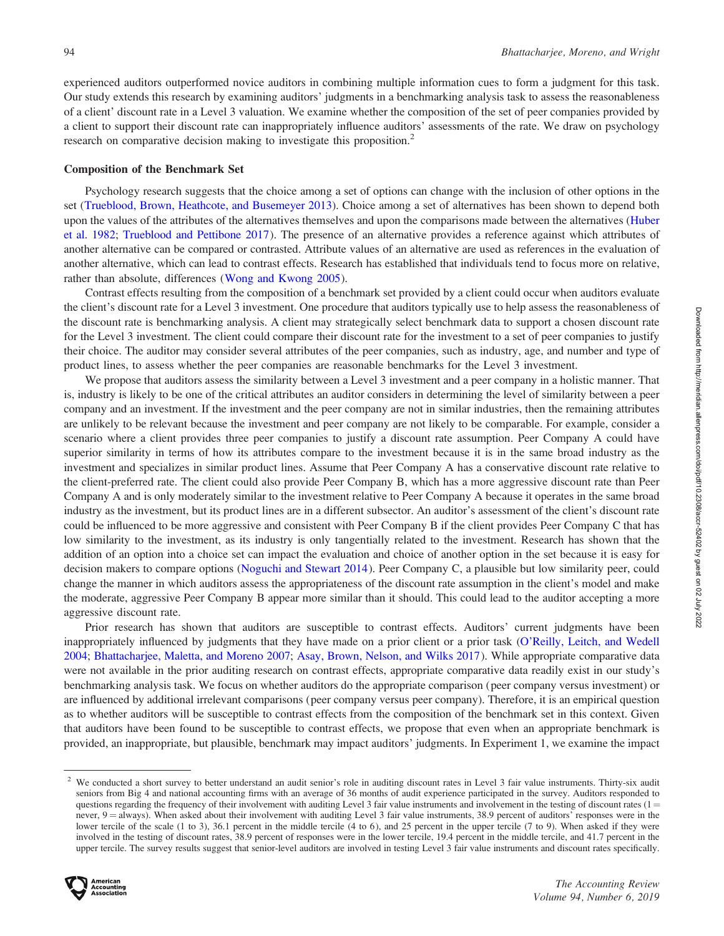experienced auditors outperformed novice auditors in combining multiple information cues to form a judgment for this task. Our study extends this research by examining auditors' judgments in a benchmarking analysis task to assess the reasonableness of a client' discount rate in a Level 3 valuation. We examine whether the composition of the set of peer companies provided by a client to support their discount rate can inappropriately influence auditors' assessments of the rate. We draw on psychology research on comparative decision making to investigate this proposition.<sup>2</sup>

#### Composition of the Benchmark Set

Psychology research suggests that the choice among a set of options can change with the inclusion of other options in the set [\(Trueblood, Brown, Heathcote, and Busemeyer 2013\)](#page-17-0). Choice among a set of alternatives has been shown to depend both upon the values of the attributes of the alternatives themselves and upon the comparisons made between the alternatives ([Huber](#page-17-0) [et al. 1982;](#page-17-0) [Trueblood and Pettibone 2017](#page-17-0)). The presence of an alternative provides a reference against which attributes of another alternative can be compared or contrasted. Attribute values of an alternative are used as references in the evaluation of another alternative, which can lead to contrast effects. Research has established that individuals tend to focus more on relative, rather than absolute, differences ([Wong and Kwong 2005](#page-17-0)).

Contrast effects resulting from the composition of a benchmark set provided by a client could occur when auditors evaluate the client's discount rate for a Level 3 investment. One procedure that auditors typically use to help assess the reasonableness of the discount rate is benchmarking analysis. A client may strategically select benchmark data to support a chosen discount rate for the Level 3 investment. The client could compare their discount rate for the investment to a set of peer companies to justify their choice. The auditor may consider several attributes of the peer companies, such as industry, age, and number and type of product lines, to assess whether the peer companies are reasonable benchmarks for the Level 3 investment.

We propose that auditors assess the similarity between a Level 3 investment and a peer company in a holistic manner. That is, industry is likely to be one of the critical attributes an auditor considers in determining the level of similarity between a peer company and an investment. If the investment and the peer company are not in similar industries, then the remaining attributes are unlikely to be relevant because the investment and peer company are not likely to be comparable. For example, consider a scenario where a client provides three peer companies to justify a discount rate assumption. Peer Company A could have superior similarity in terms of how its attributes compare to the investment because it is in the same broad industry as the investment and specializes in similar product lines. Assume that Peer Company A has a conservative discount rate relative to the client-preferred rate. The client could also provide Peer Company B, which has a more aggressive discount rate than Peer Company A and is only moderately similar to the investment relative to Peer Company A because it operates in the same broad industry as the investment, but its product lines are in a different subsector. An auditor's assessment of the client's discount rate could be influenced to be more aggressive and consistent with Peer Company B if the client provides Peer Company C that has low similarity to the investment, as its industry is only tangentially related to the investment. Research has shown that the addition of an option into a choice set can impact the evaluation and choice of another option in the set because it is easy for decision makers to compare options ([Noguchi and Stewart 2014](#page-17-0)). Peer Company C, a plausible but low similarity peer, could change the manner in which auditors assess the appropriateness of the discount rate assumption in the client's model and make the moderate, aggressive Peer Company B appear more similar than it should. This could lead to the auditor accepting a more aggressive discount rate.

Prior research has shown that auditors are susceptible to contrast effects. Auditors' current judgments have been inappropriately influenced by judgments that they have made on a prior client or a prior task [\(O'Reilly, Leitch, and Wedell](#page-17-0) [2004;](#page-17-0) [Bhattacharjee, Maletta, and Moreno 2007;](#page-16-0) [Asay, Brown, Nelson, and Wilks 2017](#page-16-0)). While appropriate comparative data were not available in the prior auditing research on contrast effects, appropriate comparative data readily exist in our study's benchmarking analysis task. We focus on whether auditors do the appropriate comparison (peer company versus investment) or are influenced by additional irrelevant comparisons (peer company versus peer company). Therefore, it is an empirical question as to whether auditors will be susceptible to contrast effects from the composition of the benchmark set in this context. Given that auditors have been found to be susceptible to contrast effects, we propose that even when an appropriate benchmark is provided, an inappropriate, but plausible, benchmark may impact auditors' judgments. In Experiment 1, we examine the impact

<sup>&</sup>lt;sup>2</sup> We conducted a short survey to better understand an audit senior's role in auditing discount rates in Level 3 fair value instruments. Thirty-six audit seniors from Big 4 and national accounting firms with an average of 36 months of audit experience participated in the survey. Auditors responded to questions regarding the frequency of their involvement with auditing Level 3 fair value instruments and involvement in the testing of discount rates  $(1$ never,  $9 =$  always). When asked about their involvement with auditing Level 3 fair value instruments, 38.9 percent of auditors' responses were in the lower tercile of the scale (1 to 3), 36.1 percent in the middle tercile (4 to 6), and 25 percent in the upper tercile (7 to 9). When asked if they were involved in the testing of discount rates, 38.9 percent of responses were in the lower tercile, 19.4 percent in the middle tercile, and 41.7 percent in the upper tercile. The survey results suggest that senior-level auditors are involved in testing Level 3 fair value instruments and discount rates specifically.

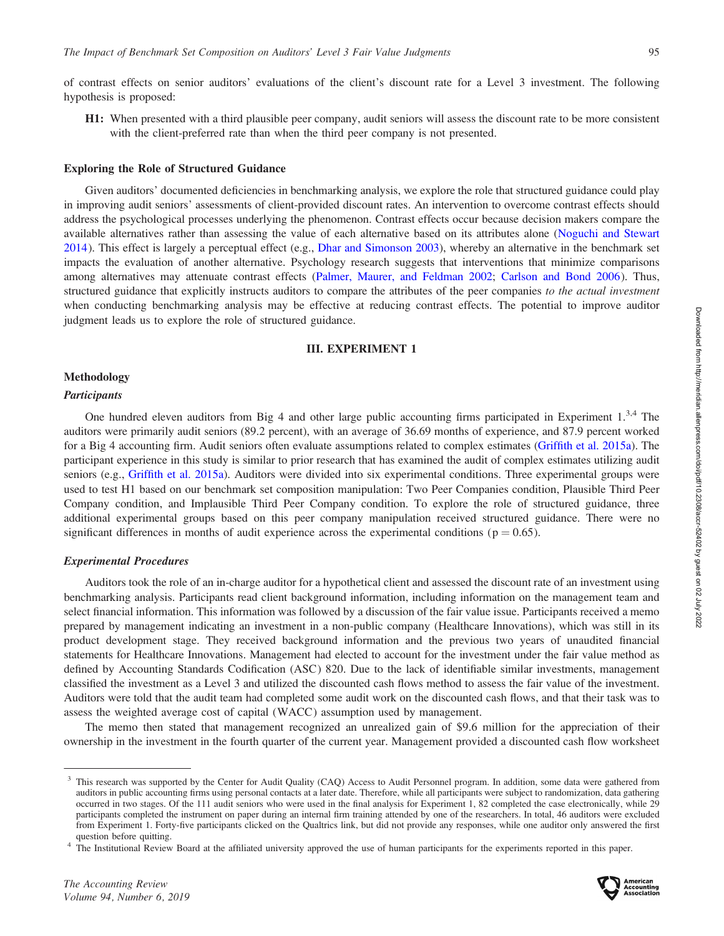of contrast effects on senior auditors' evaluations of the client's discount rate for a Level 3 investment. The following hypothesis is proposed:

H1: When presented with a third plausible peer company, audit seniors will assess the discount rate to be more consistent with the client-preferred rate than when the third peer company is not presented.

## Exploring the Role of Structured Guidance

Given auditors' documented deficiencies in benchmarking analysis, we explore the role that structured guidance could play in improving audit seniors' assessments of client-provided discount rates. An intervention to overcome contrast effects should address the psychological processes underlying the phenomenon. Contrast effects occur because decision makers compare the available alternatives rather than assessing the value of each alternative based on its attributes alone ([Noguchi and Stewart](#page-17-0) [2014](#page-17-0)). This effect is largely a perceptual effect (e.g., [Dhar and Simonson 2003\)](#page-16-0), whereby an alternative in the benchmark set impacts the evaluation of another alternative. Psychology research suggests that interventions that minimize comparisons among alternatives may attenuate contrast effects [\(Palmer, Maurer, and Feldman 2002;](#page-17-0) [Carlson and Bond 2006](#page-16-0)). Thus, structured guidance that explicitly instructs auditors to compare the attributes of the peer companies to the actual investment when conducting benchmarking analysis may be effective at reducing contrast effects. The potential to improve auditor judgment leads us to explore the role of structured guidance.

#### III. EXPERIMENT 1

## Methodology

#### **Participants**

One hundred eleven auditors from Big 4 and other large public accounting firms participated in Experiment 1.3,4 The auditors were primarily audit seniors (89.2 percent), with an average of 36.69 months of experience, and 87.9 percent worked for a Big 4 accounting firm. Audit seniors often evaluate assumptions related to complex estimates [\(Griffith et al. 2015a](#page-17-0)). The participant experience in this study is similar to prior research that has examined the audit of complex estimates utilizing audit seniors (e.g., [Griffith et al. 2015a](#page-17-0)). Auditors were divided into six experimental conditions. Three experimental groups were used to test H1 based on our benchmark set composition manipulation: Two Peer Companies condition, Plausible Third Peer Company condition, and Implausible Third Peer Company condition. To explore the role of structured guidance, three additional experimental groups based on this peer company manipulation received structured guidance. There were no significant differences in months of audit experience across the experimental conditions ( $p = 0.65$ ).

#### Experimental Procedures

Auditors took the role of an in-charge auditor for a hypothetical client and assessed the discount rate of an investment using benchmarking analysis. Participants read client background information, including information on the management team and select financial information. This information was followed by a discussion of the fair value issue. Participants received a memo prepared by management indicating an investment in a non-public company (Healthcare Innovations), which was still in its product development stage. They received background information and the previous two years of unaudited financial statements for Healthcare Innovations. Management had elected to account for the investment under the fair value method as defined by Accounting Standards Codification (ASC) 820. Due to the lack of identifiable similar investments, management classified the investment as a Level 3 and utilized the discounted cash flows method to assess the fair value of the investment. Auditors were told that the audit team had completed some audit work on the discounted cash flows, and that their task was to assess the weighted average cost of capital (WACC) assumption used by management.

The memo then stated that management recognized an unrealized gain of \$9.6 million for the appreciation of their ownership in the investment in the fourth quarter of the current year. Management provided a discounted cash flow worksheet



<sup>3</sup> This research was supported by the Center for Audit Quality (CAQ) Access to Audit Personnel program. In addition, some data were gathered from auditors in public accounting firms using personal contacts at a later date. Therefore, while all participants were subject to randomization, data gathering occurred in two stages. Of the 111 audit seniors who were used in the final analysis for Experiment 1, 82 completed the case electronically, while 29 participants completed the instrument on paper during an internal firm training attended by one of the researchers. In total, 46 auditors were excluded from Experiment 1. Forty-five participants clicked on the Qualtrics link, but did not provide any responses, while one auditor only answered the first

question before quitting.<br><sup>4</sup> The Institutional Review Board at the affiliated university approved the use of human participants for the experiments reported in this paper.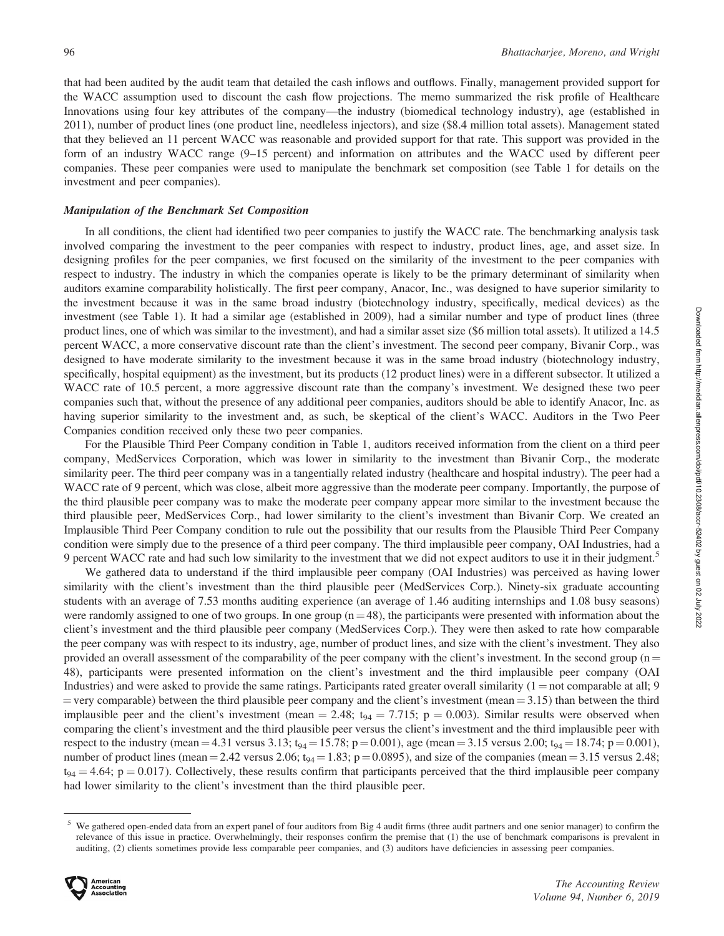that had been audited by the audit team that detailed the cash inflows and outflows. Finally, management provided support for the WACC assumption used to discount the cash flow projections. The memo summarized the risk profile of Healthcare Innovations using four key attributes of the company—the industry (biomedical technology industry), age (established in 2011), number of product lines (one product line, needleless injectors), and size (\$8.4 million total assets). Management stated that they believed an 11 percent WACC was reasonable and provided support for that rate. This support was provided in the form of an industry WACC range (9–15 percent) and information on attributes and the WACC used by different peer companies. These peer companies were used to manipulate the benchmark set composition (see Table 1 for details on the investment and peer companies).

#### Manipulation of the Benchmark Set Composition

In all conditions, the client had identified two peer companies to justify the WACC rate. The benchmarking analysis task involved comparing the investment to the peer companies with respect to industry, product lines, age, and asset size. In designing profiles for the peer companies, we first focused on the similarity of the investment to the peer companies with respect to industry. The industry in which the companies operate is likely to be the primary determinant of similarity when auditors examine comparability holistically. The first peer company, Anacor, Inc., was designed to have superior similarity to the investment because it was in the same broad industry (biotechnology industry, specifically, medical devices) as the investment (see Table 1). It had a similar age (established in 2009), had a similar number and type of product lines (three product lines, one of which was similar to the investment), and had a similar asset size (\$6 million total assets). It utilized a 14.5 percent WACC, a more conservative discount rate than the client's investment. The second peer company, Bivanir Corp., was designed to have moderate similarity to the investment because it was in the same broad industry (biotechnology industry, specifically, hospital equipment) as the investment, but its products (12 product lines) were in a different subsector. It utilized a WACC rate of 10.5 percent, a more aggressive discount rate than the company's investment. We designed these two peer companies such that, without the presence of any additional peer companies, auditors should be able to identify Anacor, Inc. as having superior similarity to the investment and, as such, be skeptical of the client's WACC. Auditors in the Two Peer Companies condition received only these two peer companies.

For the Plausible Third Peer Company condition in Table 1, auditors received information from the client on a third peer company, MedServices Corporation, which was lower in similarity to the investment than Bivanir Corp., the moderate similarity peer. The third peer company was in a tangentially related industry (healthcare and hospital industry). The peer had a WACC rate of 9 percent, which was close, albeit more aggressive than the moderate peer company. Importantly, the purpose of the third plausible peer company was to make the moderate peer company appear more similar to the investment because the third plausible peer, MedServices Corp., had lower similarity to the client's investment than Bivanir Corp. We created an Implausible Third Peer Company condition to rule out the possibility that our results from the Plausible Third Peer Company condition were simply due to the presence of a third peer company. The third implausible peer company, OAI Industries, had a 9 percent WACC rate and had such low similarity to the investment that we did not expect auditors to use it in their judgment.<sup>5</sup>

We gathered data to understand if the third implausible peer company (OAI Industries) was perceived as having lower similarity with the client's investment than the third plausible peer (MedServices Corp.). Ninety-six graduate accounting students with an average of 7.53 months auditing experience (an average of 1.46 auditing internships and 1.08 busy seasons) were randomly assigned to one of two groups. In one group  $(n=48)$ , the participants were presented with information about the client's investment and the third plausible peer company (MedServices Corp.). They were then asked to rate how comparable the peer company was with respect to its industry, age, number of product lines, and size with the client's investment. They also provided an overall assessment of the comparability of the peer company with the client's investment. In the second group  $(n =$ 48), participants were presented information on the client's investment and the third implausible peer company (OAI Industries) and were asked to provide the same ratings. Participants rated greater overall similarity  $(1 = not comparable at all; 9)$  $=$  very comparable) between the third plausible peer company and the client's investment (mean  $=$  3.15) than between the third implausible peer and the client's investment (mean = 2.48;  $t_{94} = 7.715$ ; p = 0.003). Similar results were observed when comparing the client's investment and the third plausible peer versus the client's investment and the third implausible peer with respect to the industry (mean = 4.31 versus 3.13;  $t_{94} = 15.78$ ; p = 0.001), age (mean = 3.15 versus 2.00;  $t_{94} = 18.74$ ; p = 0.001), number of product lines (mean = 2.42 versus 2.06;  $t_{94} = 1.83$ ; p = 0.0895), and size of the companies (mean = 3.15 versus 2.48;  $t_{94} = 4.64$ ; p = 0.017). Collectively, these results confirm that participants perceived that the third implausible peer company had lower similarity to the client's investment than the third plausible peer.

We gathered open-ended data from an expert panel of four auditors from Big 4 audit firms (three audit partners and one senior manager) to confirm the relevance of this issue in practice. Overwhelmingly, their responses confirm the premise that (1) the use of benchmark comparisons is prevalent in auditing, (2) clients sometimes provide less comparable peer companies, and (3) auditors have deficiencies in assessing peer companies.

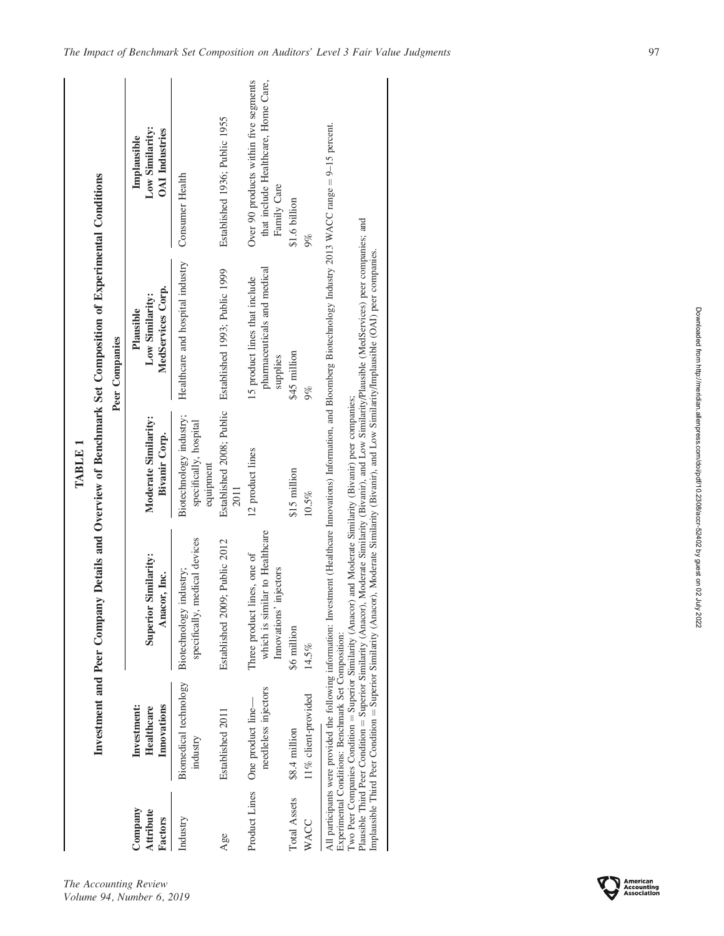|                                 |                                                         | Investment and Peer Company Details and Overview of Benchmark Set Composition of Experimental Conditions                                                                                                                                                                                                                                                                                                                                                                                                                                                                                                                 |                                                                | Peer Companies                                                           |                                                                                             |
|---------------------------------|---------------------------------------------------------|--------------------------------------------------------------------------------------------------------------------------------------------------------------------------------------------------------------------------------------------------------------------------------------------------------------------------------------------------------------------------------------------------------------------------------------------------------------------------------------------------------------------------------------------------------------------------------------------------------------------------|----------------------------------------------------------------|--------------------------------------------------------------------------|---------------------------------------------------------------------------------------------|
| Company<br>Attribute<br>Factors | Investment:<br>Innovations<br>Healthcare                | Similarity:<br>Anacor, Inc.<br>Superior                                                                                                                                                                                                                                                                                                                                                                                                                                                                                                                                                                                  | Moderate Similarity:<br>Bivanir Corp.                          | MedServices Corp.<br>Low Similarity:<br>Plausible                        | Low Similarity:<br><b>OAI</b> Industries<br>Implausible                                     |
| Industry                        | Biomedical technology<br>industry                       | specifically, medical devices<br>industry;<br>Biotechnology                                                                                                                                                                                                                                                                                                                                                                                                                                                                                                                                                              | Biotechnology industry;<br>specifically, hospital<br>equipment | Healthcare and hospital industry                                         | Consumer Health                                                                             |
| Age                             | Established 2011                                        | Established 2009; Public 2012                                                                                                                                                                                                                                                                                                                                                                                                                                                                                                                                                                                            | Established 2008; Public<br>2011                               | Established 1993; Public 1999                                            | Established 1936; Public 1955                                                               |
|                                 | needleless injectors<br>Product Lines One product line- | which is similar to Healthcare<br>Three product lines, one of<br>injectors<br>Innovations'                                                                                                                                                                                                                                                                                                                                                                                                                                                                                                                               | 12 product lines                                               | pharmaceuticals and medical<br>15 product lines that include<br>supplies | Over 90 products within five segments<br>that include Healthcare, Home Care,<br>Family Care |
| Total Assets                    | \$8.4 million                                           | \$6 million                                                                                                                                                                                                                                                                                                                                                                                                                                                                                                                                                                                                              | \$15 million                                                   | \$45 million                                                             | \$1.6 billion                                                                               |
| WACC                            | 11% client-provided                                     | 14.5%                                                                                                                                                                                                                                                                                                                                                                                                                                                                                                                                                                                                                    | 10.5%                                                          | 9%                                                                       | 9%                                                                                          |
|                                 | Experimental Conditions: Benchmark Set Composition:     | All participants were provided the following information: Investment (Healthcare Innovations) Information, and Bloomberg Biotechnology Industry 2013 WACC range = 9-15 percent.<br>Plausible Third Peer Condition = Superior Similarity (Anacor), Moderate Similarity (Bivanir), and Low Similarity/Plausible (MedServices) peer companies; and<br>Implausible Third Peer Condition = Superior Similarity (Anacor), Moderate Similarity (Bivanir), and Low Similarity/Implausible (OAI) peer companies.<br>Two Peer Companies Condition = Superior Similarity (Anacor) and Moderate Similarity (Bivanir) peer companies; |                                                                |                                                                          |                                                                                             |

The Impact of Benchmark Set Composition on Auditors' Level 3 Fair Value Judgments 97

The Accounting Review Volume 94, Number 6, 2019

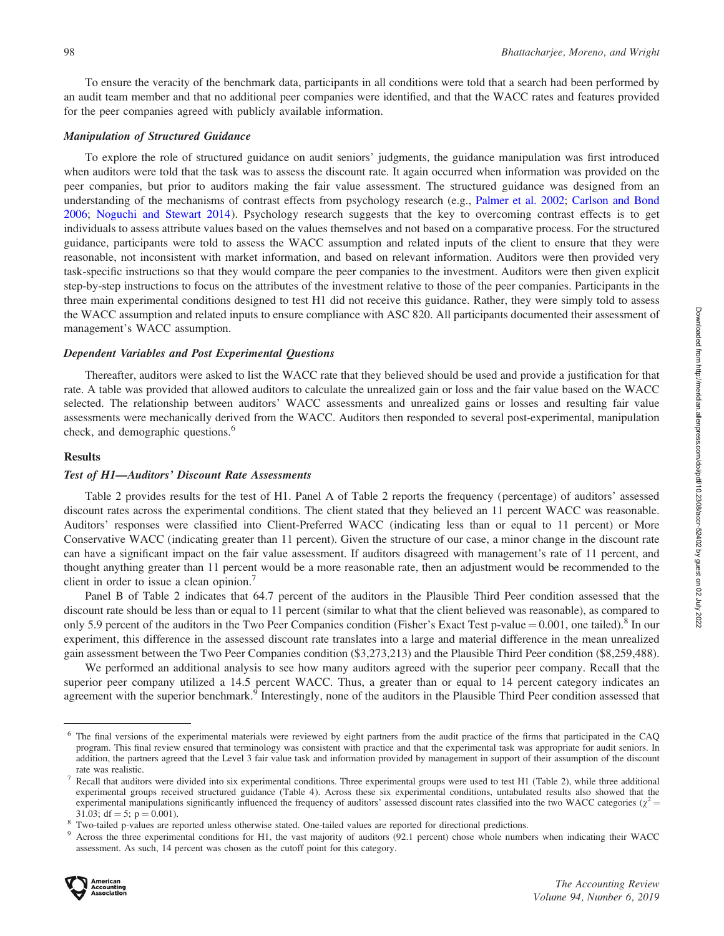To ensure the veracity of the benchmark data, participants in all conditions were told that a search had been performed by an audit team member and that no additional peer companies were identified, and that the WACC rates and features provided for the peer companies agreed with publicly available information.

#### Manipulation of Structured Guidance

To explore the role of structured guidance on audit seniors' judgments, the guidance manipulation was first introduced when auditors were told that the task was to assess the discount rate. It again occurred when information was provided on the peer companies, but prior to auditors making the fair value assessment. The structured guidance was designed from an understanding of the mechanisms of contrast effects from psychology research (e.g., [Palmer et al. 2002;](#page-17-0) [Carlson and Bond](#page-16-0) [2006;](#page-16-0) [Noguchi and Stewart 2014](#page-17-0)). Psychology research suggests that the key to overcoming contrast effects is to get individuals to assess attribute values based on the values themselves and not based on a comparative process. For the structured guidance, participants were told to assess the WACC assumption and related inputs of the client to ensure that they were reasonable, not inconsistent with market information, and based on relevant information. Auditors were then provided very task-specific instructions so that they would compare the peer companies to the investment. Auditors were then given explicit step-by-step instructions to focus on the attributes of the investment relative to those of the peer companies. Participants in the three main experimental conditions designed to test H1 did not receive this guidance. Rather, they were simply told to assess the WACC assumption and related inputs to ensure compliance with ASC 820. All participants documented their assessment of management's WACC assumption.

#### Dependent Variables and Post Experimental Questions

Thereafter, auditors were asked to list the WACC rate that they believed should be used and provide a justification for that rate. A table was provided that allowed auditors to calculate the unrealized gain or loss and the fair value based on the WACC selected. The relationship between auditors' WACC assessments and unrealized gains or losses and resulting fair value assessments were mechanically derived from the WACC. Auditors then responded to several post-experimental, manipulation check, and demographic questions.<sup>6</sup>

## **Results**

#### Test of H1—Auditors' Discount Rate Assessments

Table 2 provides results for the test of H1. Panel A of Table 2 reports the frequency (percentage) of auditors' assessed discount rates across the experimental conditions. The client stated that they believed an 11 percent WACC was reasonable. Auditors' responses were classified into Client-Preferred WACC (indicating less than or equal to 11 percent) or More Conservative WACC (indicating greater than 11 percent). Given the structure of our case, a minor change in the discount rate can have a significant impact on the fair value assessment. If auditors disagreed with management's rate of 11 percent, and thought anything greater than 11 percent would be a more reasonable rate, then an adjustment would be recommended to the client in order to issue a clean opinion.<sup>7</sup>

Panel B of Table 2 indicates that 64.7 percent of the auditors in the Plausible Third Peer condition assessed that the discount rate should be less than or equal to 11 percent (similar to what that the client believed was reasonable), as compared to only 5.9 percent of the auditors in the Two Peer Companies condition (Fisher's Exact Test p-value  $= 0.001$ , one tailed).<sup>8</sup> In our experiment, this difference in the assessed discount rate translates into a large and material difference in the mean unrealized gain assessment between the Two Peer Companies condition (\$3,273,213) and the Plausible Third Peer condition (\$8,259,488).

We performed an additional analysis to see how many auditors agreed with the superior peer company. Recall that the superior peer company utilized a 14.5 percent WACC. Thus, a greater than or equal to 14 percent category indicates an agreement with the superior benchmark.<sup>9</sup> Interestingly, none of the auditors in the Plausible Third Peer condition assessed that

<sup>31.03;</sup>  $df = 5$ ;  $p = 0.001$ ).<br>Two-tailed p-values are reported unless otherwise stated. One-tailed values are reported for directional predictions.<br>Across the three experimental conditions for H1, the vast majority of audit assessment. As such, 14 percent was chosen as the cutoff point for this category.



<sup>&</sup>lt;sup>6</sup> The final versions of the experimental materials were reviewed by eight partners from the audit practice of the firms that participated in the CAQ program. This final review ensured that terminology was consistent with practice and that the experimental task was appropriate for audit seniors. In addition, the partners agreed that the Level 3 fair value task and information provided by management in support of their assumption of the discount

rate was realistic.<br>Recall that auditors were divided into six experimental conditions. Three experimental groups were used to test H1 (Table 2), while three additional experimental groups received structured guidance (Table 4). Across these six experimental conditions, untabulated results also showed that the experimental manipulations significantly influenced the frequency of auditors' assessed discount rates classified into the two WACC categories ( $\chi^2$  =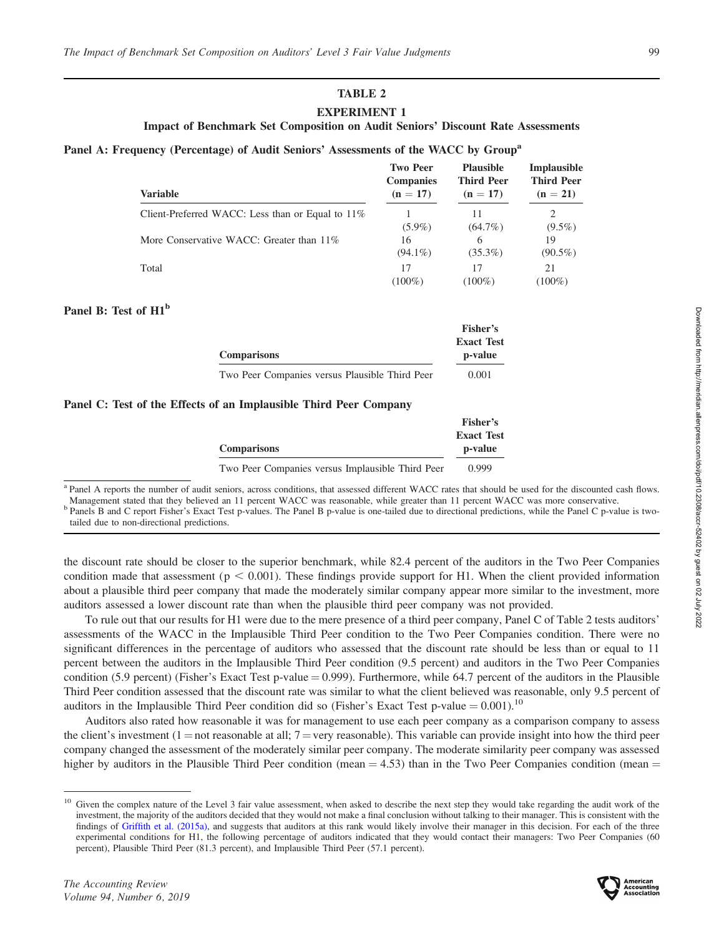# EXPERIMENT 1

# Impact of Benchmark Set Composition on Audit Seniors' Discount Rate Assessments

# Panel A: Frequency (Percentage) of Audit Seniors' Assessments of the WACC by Group<sup>a</sup>

| Variable                                            | <b>Two Peer</b>  | <b>Plausible</b>  | Implausible                 |
|-----------------------------------------------------|------------------|-------------------|-----------------------------|
|                                                     | <b>Companies</b> | <b>Third Peer</b> | <b>Third Peer</b>           |
|                                                     | $(n = 17)$       | $(n = 17)$        | $(n = 21)$                  |
| Client-Preferred WACC: Less than or Equal to $11\%$ |                  | 11                | $\mathcal{D}_{\mathcal{L}}$ |
| More Conservative WACC: Greater than 11%            | $(5.9\%)$        | $(64.7\%)$        | $(9.5\%)$                   |
|                                                     | 16               | 6                 | 19                          |
|                                                     | $(94.1\%)$       | $(35.3\%)$        | $(90.5\%)$                  |
| Total                                               | 17               | 17                | 21                          |
|                                                     | $(100\%)$        | $(100\%)$         | $(100\%)$                   |

# Panel B: Test of H1<sup>b</sup>

|                                                | Fisher's          |
|------------------------------------------------|-------------------|
|                                                | <b>Exact Test</b> |
| <b>Comparisons</b>                             | p-value           |
| Two Peer Companies versus Plausible Third Peer | 0.001             |

# Panel C: Test of the Effects of an Implausible Third Peer Company

|                                                  | Fisher's          |
|--------------------------------------------------|-------------------|
|                                                  | <b>Exact Test</b> |
| <b>Comparisons</b>                               | p-value           |
| Two Peer Companies versus Implausible Third Peer | 0.999             |

<sup>a</sup> Panel A reports the number of audit seniors, across conditions, that assessed different WACC rates that should be used for the discounted cash flows. Management stated that they believed an 11 percent WACC was reasonable, while greater than 11 percent WACC was more conservative.

<sup>b</sup> Panels B and C report Fisher's Exact Test p-values. The Panel B p-value is one-tailed due to directional predictions, while the Panel C p-value is twotailed due to non-directional predictions.

the discount rate should be closer to the superior benchmark, while 82.4 percent of the auditors in the Two Peer Companies condition made that assessment ( $p < 0.001$ ). These findings provide support for H1. When the client provided information about a plausible third peer company that made the moderately similar company appear more similar to the investment, more auditors assessed a lower discount rate than when the plausible third peer company was not provided.

To rule out that our results for H1 were due to the mere presence of a third peer company, Panel C of Table 2 tests auditors' assessments of the WACC in the Implausible Third Peer condition to the Two Peer Companies condition. There were no significant differences in the percentage of auditors who assessed that the discount rate should be less than or equal to 11 percent between the auditors in the Implausible Third Peer condition (9.5 percent) and auditors in the Two Peer Companies condition (5.9 percent) (Fisher's Exact Test p-value  $= 0.999$ ). Furthermore, while 64.7 percent of the auditors in the Plausible Third Peer condition assessed that the discount rate was similar to what the client believed was reasonable, only 9.5 percent of auditors in the Implausible Third Peer condition did so (Fisher's Exact Test p-value =  $0.001$ ).<sup>10</sup>

Auditors also rated how reasonable it was for management to use each peer company as a comparison company to assess the client's investment  $(1 = not reasonable at all; 7 = very reasonable)$ . This variable can provide insight into how the third peer company changed the assessment of the moderately similar peer company. The moderate similarity peer company was assessed higher by auditors in the Plausible Third Peer condition (mean  $=$  4.53) than in the Two Peer Companies condition (mean  $=$ 



<sup>&</sup>lt;sup>10</sup> Given the complex nature of the Level 3 fair value assessment, when asked to describe the next step they would take regarding the audit work of the investment, the majority of the auditors decided that they would not make a final conclusion without talking to their manager. This is consistent with the findings of [Griffith et al. \(2015a\)](#page-17-0), and suggests that auditors at this rank would likely involve their manager in this decision. For each of the three experimental conditions for H1, the following percentage of auditors indicated that they would contact their managers: Two Peer Companies (60 percent), Plausible Third Peer (81.3 percent), and Implausible Third Peer (57.1 percent).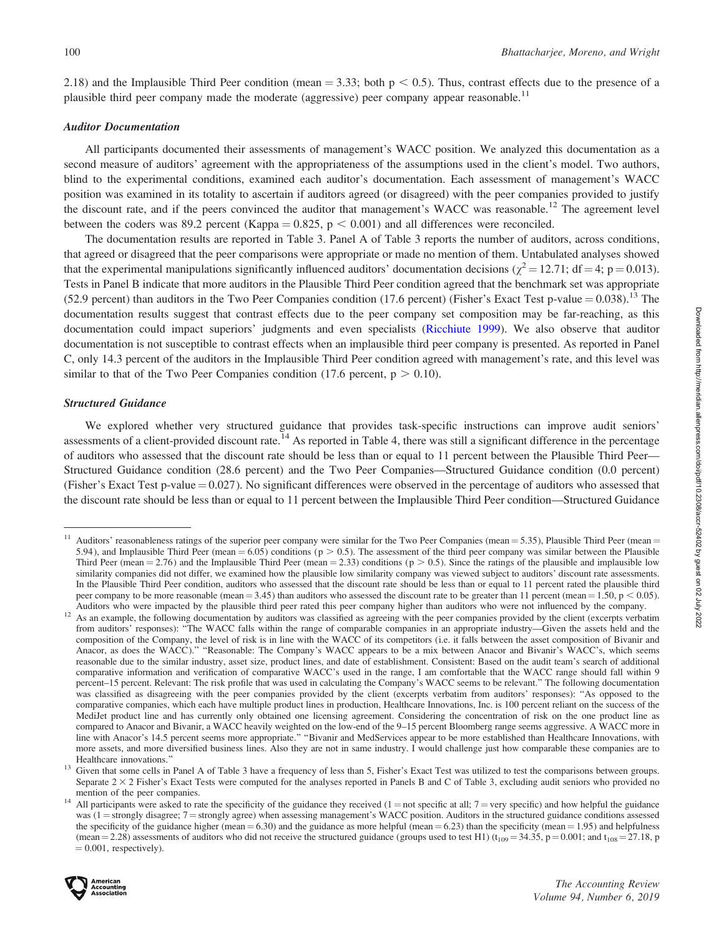2.18) and the Implausible Third Peer condition (mean  $=$  3.33; both  $p < 0.5$ ). Thus, contrast effects due to the presence of a plausible third peer company made the moderate (aggressive) peer company appear reasonable.<sup>11</sup>

#### Auditor Documentation

All participants documented their assessments of management's WACC position. We analyzed this documentation as a second measure of auditors' agreement with the appropriateness of the assumptions used in the client's model. Two authors, blind to the experimental conditions, examined each auditor's documentation. Each assessment of management's WACC position was examined in its totality to ascertain if auditors agreed (or disagreed) with the peer companies provided to justify the discount rate, and if the peers convinced the auditor that management's WACC was reasonable.<sup>12</sup> The agreement level between the coders was 89.2 percent (Kappa =  $0.825$ , p < 0.001) and all differences were reconciled.

The documentation results are reported in Table 3. Panel A of Table 3 reports the number of auditors, across conditions, that agreed or disagreed that the peer comparisons were appropriate or made no mention of them. Untabulated analyses showed that the experimental manipulations significantly influenced auditors' documentation decisions ( $\chi^2 = 12.71$ ; df = 4; p = 0.013). Tests in Panel B indicate that more auditors in the Plausible Third Peer condition agreed that the benchmark set was appropriate (52.9 percent) than auditors in the Two Peer Companies condition (17.6 percent) (Fisher's Exact Test p-value  $= 0.038$ ).<sup>13</sup> The documentation results suggest that contrast effects due to the peer company set composition may be far-reaching, as this documentation could impact superiors' judgments and even specialists [\(Ricchiute 1999](#page-17-0)). We also observe that auditor documentation is not susceptible to contrast effects when an implausible third peer company is presented. As reported in Panel C, only 14.3 percent of the auditors in the Implausible Third Peer condition agreed with management's rate, and this level was similar to that of the Two Peer Companies condition (17.6 percent,  $p > 0.10$ ).

#### Structured Guidance

We explored whether very structured guidance that provides task-specific instructions can improve audit seniors' assessments of a client-provided discount rate.<sup>14</sup> As reported in Table 4, there was still a significant difference in the percentage of auditors who assessed that the discount rate should be less than or equal to 11 percent between the Plausible Third Peer— Structured Guidance condition (28.6 percent) and the Two Peer Companies—Structured Guidance condition (0.0 percent) (Fisher's Exact Test p-value  $= 0.027$ ). No significant differences were observed in the percentage of auditors who assessed that the discount rate should be less than or equal to 11 percent between the Implausible Third Peer condition—Structured Guidance

<sup>&</sup>lt;sup>11</sup> Auditors' reasonableness ratings of the superior peer company were similar for the Two Peer Companies (mean = 5.35), Plausible Third Peer (mean = 5.94), and Implausible Third Peer (mean  $= 6.05$ ) conditions ( $p > 0.5$ ). The assessment of the third peer company was similar between the Plausible Third Peer (mean  $=$  2.76) and the Implausible Third Peer (mean  $=$  2.33) conditions (p  $>$  0.5). Since the ratings of the plausible and implausible low similarity companies did not differ, we examined how the plausible low similarity company was viewed subject to auditors' discount rate assessments. In the Plausible Third Peer condition, auditors who assessed that the discount rate should be less than or equal to 11 percent rated the plausible third peer company to be more reasonable (mean = 3.45) than auditors who assessed the discount rate to be greater than 11 percent (mean = 1.50, p < 0.05).

Auditors who were impacted by the plausible third peer rated this peer company higher than auditors who were not influenced by the company.<br>As an example, the following documentation by auditors was classified as agreeing from auditors' responses): ''The WACC falls within the range of comparable companies in an appropriate industry—Given the assets held and the composition of the Company, the level of risk is in line with the WACC of its competitors (i.e. it falls between the asset composition of Bivanir and Anacor, as does the WACC)." "Reasonable: The Company's WACC appears to be a mix between Anacor and Bivanir's WACC's, which seems reasonable due to the similar industry, asset size, product lines, and date of establishment. Consistent: Based on the audit team's search of additional comparative information and verification of comparative WACC's used in the range, I am comfortable that the WACC range should fall within 9 percent–15 percent. Relevant: The risk profile that was used in calculating the Company's WACC seems to be relevant.'' The following documentation was classified as disagreeing with the peer companies provided by the client (excerpts verbatim from auditors' responses): ''As opposed to the comparative companies, which each have multiple product lines in production, Healthcare Innovations, Inc. is 100 percent reliant on the success of the MediJet product line and has currently only obtained one licensing agreement. Considering the concentration of risk on the one product line as compared to Anacor and Bivanir, a WACC heavily weighted on the low-end of the 9–15 percent Bloomberg range seems aggressive. A WACC more in line with Anacor's 14.5 percent seems more appropriate." "Bivanir and MedServices appear to be more established than Healthcare Innovations, with more assets, and more diversified business lines. Also they are not in same industry. I would challenge just how comparable these companies are to

<sup>&</sup>lt;sup>13</sup> Given that some cells in Panel A of Table 3 have a frequency of less than 5, Fisher's Exact Test was utilized to test the comparisons between groups. Separate  $2 \times 2$  Fisher's Exact Tests were computed for the analyses reported in Panels B and C of Table 3, excluding audit seniors who provided no

mention of the peer companies.<br><sup>14</sup> All participants were asked to rate the specificity of the guidance they received (1 = not specific at all; 7 = very specific) and how helpful the guidance was  $(1 =$ strongly disagree;  $7 =$ strongly agree) when assessing management's WACC position. Auditors in the structured guidance conditions assessed the specificity of the guidance higher (mean = 6.30) and the guidance as more helpful (mean = 6.23) than the specificity (mean = 1.95) and helpfulness (mean = 2.28) assessments of auditors who did not receive the structured guidance (groups used to test H1) (t<sub>109</sub> = 34.35, p = 0.001; and t<sub>108</sub> = 27.18, p  $= 0.001$ , respectively).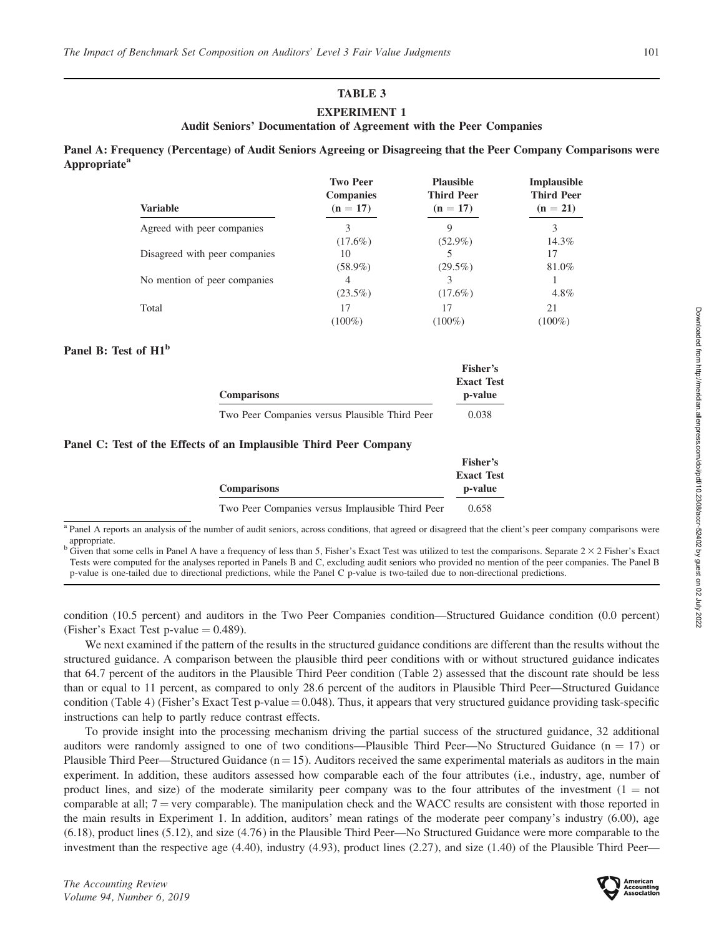## EXPERIMENT 1 Audit Seniors' Documentation of Agreement with the Peer Companies

Panel A: Frequency (Percentage) of Audit Seniors Agreeing or Disagreeing that the Peer Company Comparisons were Appropriate<sup>a</sup>

| <b>Variable</b>               | <b>Two Peer</b><br><b>Companies</b><br>$(n = 17)$ | <b>Plausible</b><br><b>Third Peer</b><br>$(n = 17)$ | Implausible<br><b>Third Peer</b><br>$(n = 21)$ |
|-------------------------------|---------------------------------------------------|-----------------------------------------------------|------------------------------------------------|
| Agreed with peer companies    |                                                   | 9                                                   |                                                |
|                               | $(17.6\%)$                                        | $(52.9\%)$                                          | 14.3%                                          |
| Disagreed with peer companies | 10                                                |                                                     | 17                                             |
|                               | $(58.9\%)$                                        | $(29.5\%)$                                          | 81.0%                                          |
| No mention of peer companies  | 4                                                 | 3                                                   |                                                |
|                               | $(23.5\%)$                                        | $(17.6\%)$                                          | 4.8%                                           |
| Total                         | 17                                                | 17                                                  | 21                                             |
|                               | $(100\%)$                                         | $(100\%)$                                           | $(100\%)$                                      |

# Panel B: Test of H1<sup>b</sup>

|                                                | Fisher's                     |
|------------------------------------------------|------------------------------|
| <b>Comparisons</b>                             | <b>Exact Test</b><br>p-value |
| Two Peer Companies versus Plausible Third Peer | 0.038                        |

## Panel C: Test of the Effects of an Implausible Third Peer Company

|                                                  | <b>Fisher's</b>              |
|--------------------------------------------------|------------------------------|
| <b>Comparisons</b>                               | <b>Exact Test</b><br>p-value |
| Two Peer Companies versus Implausible Third Peer | 0.658                        |

<sup>a</sup> Panel A reports an analysis of the number of audit seniors, across conditions, that agreed or disagreed that the client's peer company comparisons were appropriate.

 $b$  Given that some cells in Panel A have a frequency of less than 5, Fisher's Exact Test was utilized to test the comparisons. Separate  $2 \times 2$  Fisher's Exact Tests were computed for the analyses reported in Panels B and C, excluding audit seniors who provided no mention of the peer companies. The Panel B p-value is one-tailed due to directional predictions, while the Panel C p-value is two-tailed due to non-directional predictions.

condition (10.5 percent) and auditors in the Two Peer Companies condition—Structured Guidance condition (0.0 percent) (Fisher's Exact Test p-value  $= 0.489$ ).

We next examined if the pattern of the results in the structured guidance conditions are different than the results without the structured guidance. A comparison between the plausible third peer conditions with or without structured guidance indicates that 64.7 percent of the auditors in the Plausible Third Peer condition (Table 2) assessed that the discount rate should be less than or equal to 11 percent, as compared to only 28.6 percent of the auditors in Plausible Third Peer—Structured Guidance condition (Table 4) (Fisher's Exact Test p-value  $= 0.048$ ). Thus, it appears that very structured guidance providing task-specific instructions can help to partly reduce contrast effects.

To provide insight into the processing mechanism driving the partial success of the structured guidance, 32 additional auditors were randomly assigned to one of two conditions—Plausible Third Peer—No Structured Guidance ( $n = 17$ ) or Plausible Third Peer—Structured Guidance  $(n=15)$ . Auditors received the same experimental materials as auditors in the main experiment. In addition, these auditors assessed how comparable each of the four attributes (i.e., industry, age, number of product lines, and size) of the moderate similarity peer company was to the four attributes of the investment  $(1 = not$ comparable at all;  $7 =$  very comparable). The manipulation check and the WACC results are consistent with those reported in the main results in Experiment 1. In addition, auditors' mean ratings of the moderate peer company's industry (6.00), age (6.18), product lines (5.12), and size (4.76) in the Plausible Third Peer—No Structured Guidance were more comparable to the investment than the respective age (4.40), industry (4.93), product lines (2.27), and size (1.40) of the Plausible Third Peer—

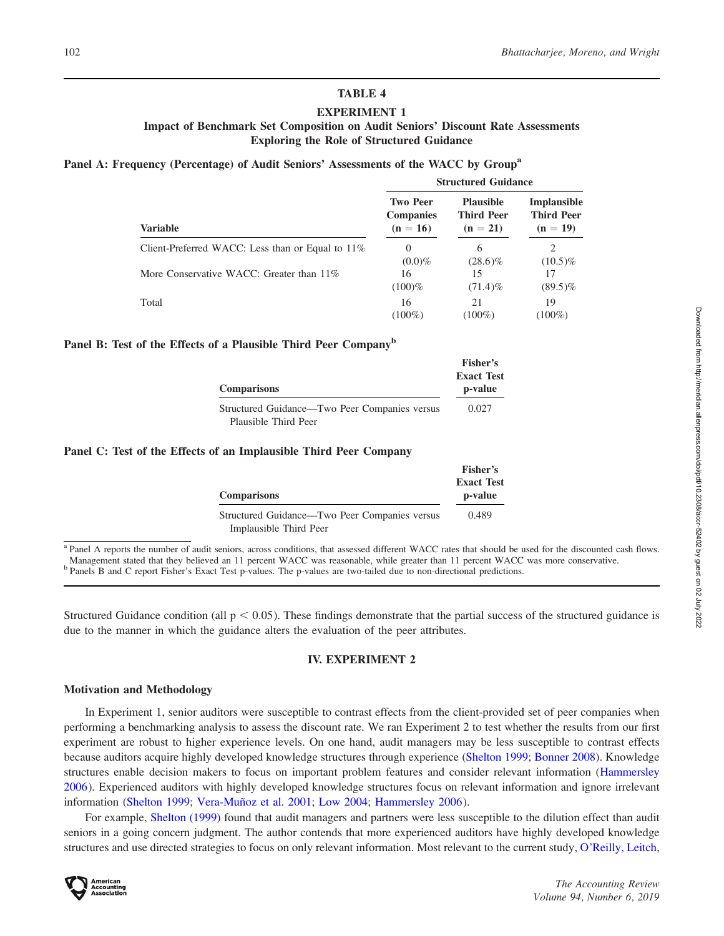# EXPERIMENT 1

Impact of Benchmark Set Composition on Audit Seniors' Discount Rate Assessments Exploring the Role of Structured Guidance

# Panel A: Frequency (Percentage) of Audit Seniors' Assessments of the WACC by Group<sup>a</sup>

|                                                     |                  | <b>Structured Guidance</b> |                   |
|-----------------------------------------------------|------------------|----------------------------|-------------------|
| <b>Variable</b>                                     | <b>Two Peer</b>  | <b>Plausible</b>           | Implausible       |
|                                                     | <b>Companies</b> | <b>Third Peer</b>          | <b>Third Peer</b> |
|                                                     | $(n = 16)$       | $(n = 21)$                 | $(n = 19)$        |
| Client-Preferred WACC: Less than or Equal to $11\%$ | $\Omega$         | 6                          | 2                 |
|                                                     | $(0.0)\%$        | $(28.6)\%$                 | $(10.5)\%$        |
| More Conservative WACC: Greater than $11\%$         | 16               | 15                         | 17                |
|                                                     | $(100)\%$        | $(71.4)\%$                 | $(89.5)\%$        |
| Total                                               | 16               | 21                         | 19                |
|                                                     | $(100\%)$        | $(100\%)$                  | $(100\%)$         |

## Panel B: Test of the Effects of a Plausible Third Peer Company<sup>b</sup>

| <b>Comparisons</b>                                                    | Fisher's<br><b>Exact Test</b><br>p-value |
|-----------------------------------------------------------------------|------------------------------------------|
| Structured Guidance—Two Peer Companies versus<br>Plausible Third Peer | 0.027                                    |

## Panel C: Test of the Effects of an Implausible Third Peer Company

| <b>Comparisons</b>                            | Fisher's<br><b>Exact Test</b><br>p-value |
|-----------------------------------------------|------------------------------------------|
| Structured Guidance—Two Peer Companies versus | 0.489                                    |
| Implausible Third Peer                        |                                          |

<sup>a</sup> Panel A reports the number of audit seniors, across conditions, that assessed different WACC rates that should be used for the discounted cash flows. Management stated that they believed an 11 percent WACC was reasonable, while greater than 11 percent WACC was more conservative. <sup>b</sup> Panels B and C report Fisher's Exact Test p-values. The p-values are two-tailed due to non-directional predictions.

Structured Guidance condition (all  $p < 0.05$ ). These findings demonstrate that the partial success of the structured guidance is due to the manner in which the guidance alters the evaluation of the peer attributes.

## IV. EXPERIMENT 2

## Motivation and Methodology

In Experiment 1, senior auditors were susceptible to contrast effects from the client-provided set of peer companies when performing a benchmarking analysis to assess the discount rate. We ran Experiment 2 to test whether the results from our first experiment are robust to higher experience levels. On one hand, audit managers may be less susceptible to contrast effects because auditors acquire highly developed knowledge structures through experience [\(Shelton 1999;](#page-17-0) [Bonner 2008\)](#page-16-0). Knowledge structures enable decision makers to focus on important problem features and consider relevant information [\(Hammersley](#page-17-0) [2006](#page-17-0)). Experienced auditors with highly developed knowledge structures focus on relevant information and ignore irrelevant information [\(Shelton 1999;](#page-17-0) Vera-Muñoz et al. 2001; [Low 2004](#page-17-0); [Hammersley 2006](#page-17-0)).

For example, [Shelton \(1999\)](#page-17-0) found that audit managers and partners were less susceptible to the dilution effect than audit seniors in a going concern judgment. The author contends that more experienced auditors have highly developed knowledge structures and use directed strategies to focus on only relevant information. Most relevant to the current study, [O'Reilly, Leitch,](#page-17-0)

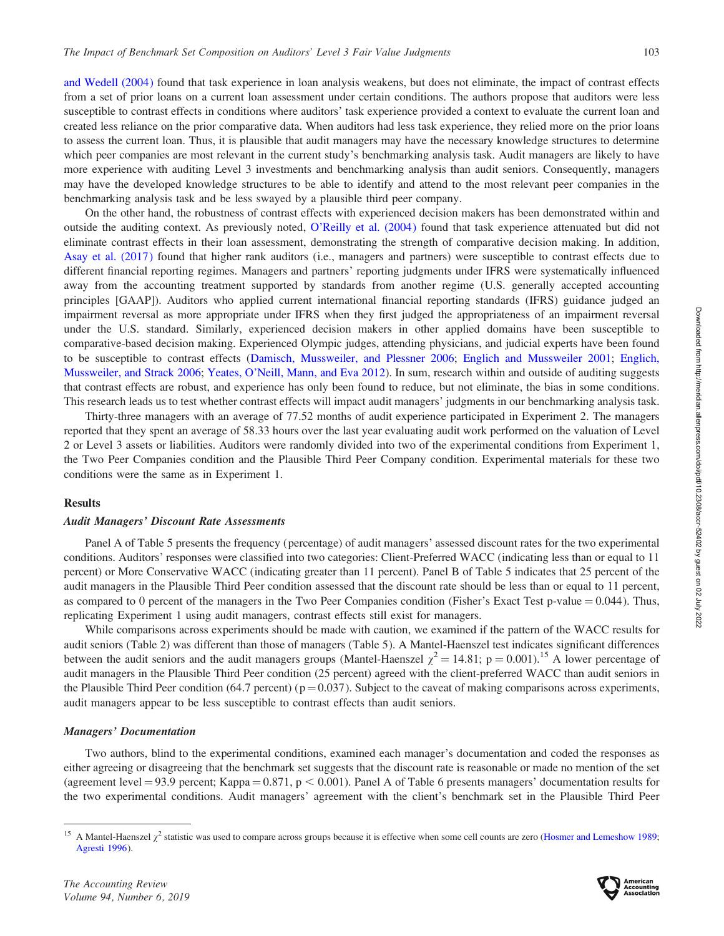[and Wedell \(2004\)](#page-17-0) found that task experience in loan analysis weakens, but does not eliminate, the impact of contrast effects from a set of prior loans on a current loan assessment under certain conditions. The authors propose that auditors were less susceptible to contrast effects in conditions where auditors' task experience provided a context to evaluate the current loan and created less reliance on the prior comparative data. When auditors had less task experience, they relied more on the prior loans to assess the current loan. Thus, it is plausible that audit managers may have the necessary knowledge structures to determine which peer companies are most relevant in the current study's benchmarking analysis task. Audit managers are likely to have more experience with auditing Level 3 investments and benchmarking analysis than audit seniors. Consequently, managers may have the developed knowledge structures to be able to identify and attend to the most relevant peer companies in the benchmarking analysis task and be less swayed by a plausible third peer company.

On the other hand, the robustness of contrast effects with experienced decision makers has been demonstrated within and outside the auditing context. As previously noted, [O'Reilly et al. \(2004\)](#page-17-0) found that task experience attenuated but did not eliminate contrast effects in their loan assessment, demonstrating the strength of comparative decision making. In addition, [Asay et al. \(2017\)](#page-16-0) found that higher rank auditors (i.e., managers and partners) were susceptible to contrast effects due to different financial reporting regimes. Managers and partners' reporting judgments under IFRS were systematically influenced away from the accounting treatment supported by standards from another regime (U.S. generally accepted accounting principles [GAAP]). Auditors who applied current international financial reporting standards (IFRS) guidance judged an impairment reversal as more appropriate under IFRS when they first judged the appropriateness of an impairment reversal under the U.S. standard. Similarly, experienced decision makers in other applied domains have been susceptible to comparative-based decision making. Experienced Olympic judges, attending physicians, and judicial experts have been found to be susceptible to contrast effects ([Damisch, Mussweiler, and Plessner 2006](#page-16-0); [Englich and Mussweiler 2001](#page-16-0); [Englich,](#page-17-0) [Mussweiler, and Strack 2006](#page-17-0); [Yeates, O'Neill, Mann, and Eva 2012\)](#page-17-0). In sum, research within and outside of auditing suggests that contrast effects are robust, and experience has only been found to reduce, but not eliminate, the bias in some conditions. This research leads us to test whether contrast effects will impact audit managers' judgments in our benchmarking analysis task.

Thirty-three managers with an average of 77.52 months of audit experience participated in Experiment 2. The managers reported that they spent an average of 58.33 hours over the last year evaluating audit work performed on the valuation of Level 2 or Level 3 assets or liabilities. Auditors were randomly divided into two of the experimental conditions from Experiment 1, the Two Peer Companies condition and the Plausible Third Peer Company condition. Experimental materials for these two conditions were the same as in Experiment 1.

#### **Results**

#### Audit Managers' Discount Rate Assessments

Panel A of Table 5 presents the frequency (percentage) of audit managers' assessed discount rates for the two experimental conditions. Auditors' responses were classified into two categories: Client-Preferred WACC (indicating less than or equal to 11 percent) or More Conservative WACC (indicating greater than 11 percent). Panel B of Table 5 indicates that 25 percent of the audit managers in the Plausible Third Peer condition assessed that the discount rate should be less than or equal to 11 percent, as compared to 0 percent of the managers in the Two Peer Companies condition (Fisher's Exact Test p-value  $= 0.044$ ). Thus, replicating Experiment 1 using audit managers, contrast effects still exist for managers.

While comparisons across experiments should be made with caution, we examined if the pattern of the WACC results for audit seniors (Table 2) was different than those of managers (Table 5). A Mantel-Haenszel test indicates significant differences between the audit seniors and the audit managers groups (Mantel-Haenszel  $\chi^2 = 14.81$ ; p = 0.001).<sup>15</sup> A lower percentage of audit managers in the Plausible Third Peer condition (25 percent) agreed with the client-preferred WACC than audit seniors in the Plausible Third Peer condition (64.7 percent) ( $p = 0.037$ ). Subject to the caveat of making comparisons across experiments, audit managers appear to be less susceptible to contrast effects than audit seniors.

#### Managers' Documentation

Two authors, blind to the experimental conditions, examined each manager's documentation and coded the responses as either agreeing or disagreeing that the benchmark set suggests that the discount rate is reasonable or made no mention of the set (agreement level  $= 93.9$  percent; Kappa  $= 0.871$ , p  $< 0.001$ ). Panel A of Table 6 presents managers' documentation results for the two experimental conditions. Audit managers' agreement with the client's benchmark set in the Plausible Third Peer



<sup>&</sup>lt;sup>15</sup> A Mantel-Haenszel  $\chi^2$  statistic was used to compare across groups because it is effective when some cell counts are zero ([Hosmer and Lemeshow 1989;](#page-17-0) [Agresti 1996](#page-16-0)).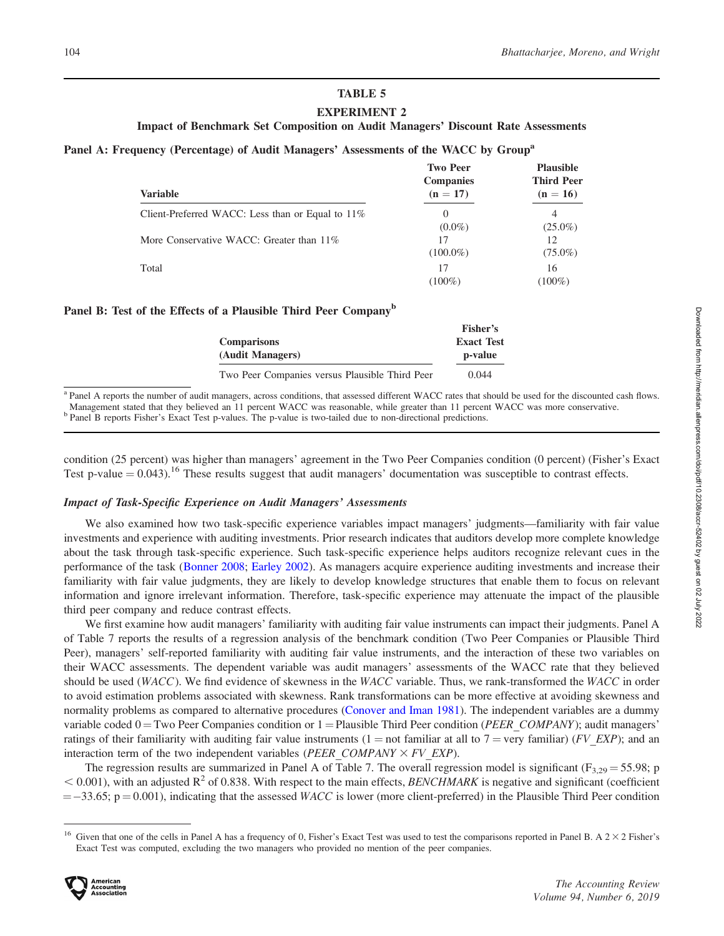# EXPERIMENT 2

## Impact of Benchmark Set Composition on Audit Managers' Discount Rate Assessments

# Panel A: Frequency (Percentage) of Audit Managers' Assessments of the WACC by Group<sup>a</sup>

| <b>Variable</b>                                     | <b>Two Peer</b><br><b>Companies</b><br>$(n = 17)$ | <b>Plausible</b><br><b>Third Peer</b><br>$(n = 16)$ |
|-----------------------------------------------------|---------------------------------------------------|-----------------------------------------------------|
| Client-Preferred WACC: Less than or Equal to $11\%$ | $\theta$                                          | 4                                                   |
|                                                     | $(0.0\%)$                                         | $(25.0\%)$                                          |
| More Conservative WACC: Greater than $11\%$         | 17                                                | 12                                                  |
|                                                     | $(100.0\%)$                                       | $(75.0\%)$                                          |
| Total                                               | 17                                                | 16                                                  |
|                                                     | $(100\%)$                                         | $(100\%)$                                           |

## Panel B: Test of the Effects of a Plausible Third Peer Company<sup>b</sup>

| <b>Comparisons</b><br>(Audit Managers)         | Fisher's<br><b>Exact Test</b><br>p-value |
|------------------------------------------------|------------------------------------------|
| Two Peer Companies versus Plausible Third Peer | 0.044                                    |

<sup>a</sup> Panel A reports the number of audit managers, across conditions, that assessed different WACC rates that should be used for the discounted cash flows. Management stated that they believed an 11 percent WACC was reasonable, while greater than 11 percent WACC was more conservative.

<sup>b</sup> Panel B reports Fisher's Exact Test p-values. The p-value is two-tailed due to non-directional predictions.

condition (25 percent) was higher than managers' agreement in the Two Peer Companies condition (0 percent) (Fisher's Exact Test p-value  $= 0.043$ .<sup>16</sup> These results suggest that audit managers' documentation was susceptible to contrast effects.

## Impact of Task-Specific Experience on Audit Managers' Assessments

We also examined how two task-specific experience variables impact managers' judgments—familiarity with fair value investments and experience with auditing investments. Prior research indicates that auditors develop more complete knowledge about the task through task-specific experience. Such task-specific experience helps auditors recognize relevant cues in the performance of the task ([Bonner 2008](#page-16-0); [Earley 2002](#page-16-0)). As managers acquire experience auditing investments and increase their familiarity with fair value judgments, they are likely to develop knowledge structures that enable them to focus on relevant information and ignore irrelevant information. Therefore, task-specific experience may attenuate the impact of the plausible third peer company and reduce contrast effects.

We first examine how audit managers' familiarity with auditing fair value instruments can impact their judgments. Panel A of Table 7 reports the results of a regression analysis of the benchmark condition (Two Peer Companies or Plausible Third Peer), managers' self-reported familiarity with auditing fair value instruments, and the interaction of these two variables on their WACC assessments. The dependent variable was audit managers' assessments of the WACC rate that they believed should be used (WACC). We find evidence of skewness in the WACC variable. Thus, we rank-transformed the WACC in order to avoid estimation problems associated with skewness. Rank transformations can be more effective at avoiding skewness and normality problems as compared to alternative procedures ([Conover and Iman 1981](#page-16-0)). The independent variables are a dummy variable coded  $0 =$ Two Peer Companies condition or 1 = Plausible Third Peer condition (PEER\_COMPANY); audit managers' ratings of their familiarity with auditing fair value instruments (1 = not familiar at all to 7 = very familiar) (FV EXP); and an interaction term of the two independent variables (PEER\_COMPANY  $\times$  FV\_EXP).

The regression results are summarized in Panel A of Table 7. The overall regression model is significant ( $F_{3,29} = 55.98$ ; p  $<$  0.001), with an adjusted R<sup>2</sup> of 0.838. With respect to the main effects, *BENCHMARK* is negative and significant (coefficient  $=$  -33.65; p = 0.001), indicating that the assessed WACC is lower (more client-preferred) in the Plausible Third Peer condition

<sup>&</sup>lt;sup>16</sup> Given that one of the cells in Panel A has a frequency of 0, Fisher's Exact Test was used to test the comparisons reported in Panel B, A 2  $\times$  2 Fisher's Exact Test was computed, excluding the two managers who provided no mention of the peer companies.

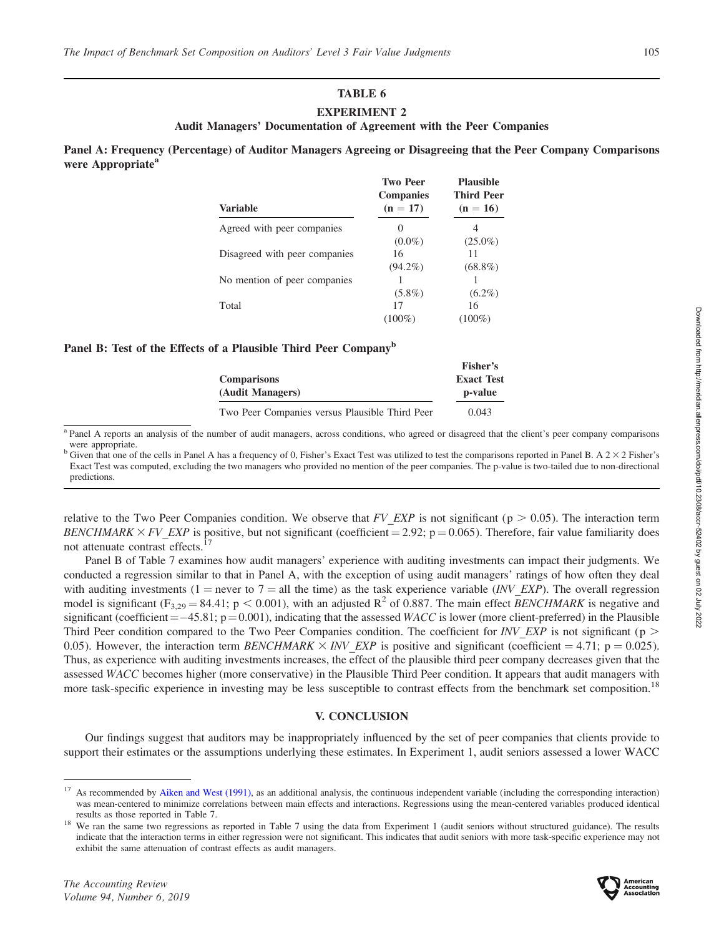# EXPERIMENT 2

# Audit Managers' Documentation of Agreement with the Peer Companies

Panel A: Frequency (Percentage) of Auditor Managers Agreeing or Disagreeing that the Peer Company Comparisons were Appropriate<sup>a</sup>

| <b>Two Peer</b><br><b>Companies</b><br>$(n = 17)$ | <b>Plausible</b><br><b>Third Peer</b><br>$(n = 16)$ |
|---------------------------------------------------|-----------------------------------------------------|
|                                                   | 4                                                   |
| $(0.0\%)$                                         | $(25.0\%)$                                          |
| 16                                                | 11                                                  |
| $(94.2\%)$                                        | $(68.8\%)$                                          |
|                                                   |                                                     |
| $(5.8\%)$                                         | $(6.2\%)$                                           |
| 17                                                | 16                                                  |
| $(100\%)$                                         | $(100\%)$                                           |
|                                                   |                                                     |

#### Panel B: Test of the Effects of a Plausible Third Peer Company<sup>b</sup>

|                                                | Fisher's                     |
|------------------------------------------------|------------------------------|
| <b>Comparisons</b><br>(Audit Managers)         | <b>Exact Test</b><br>p-value |
| Two Peer Companies versus Plausible Third Peer | 0.043                        |

<sup>a</sup> Panel A reports an analysis of the number of audit managers, across conditions, who agreed or disagreed that the client's peer company comparisons were appropriate.

 $b$  Given that one of the cells in Panel A has a frequency of 0, Fisher's Exact Test was utilized to test the comparisons reported in Panel B. A 2  $\times$  2 Fisher's Exact Test was computed, excluding the two managers who provided no mention of the peer companies. The p-value is two-tailed due to non-directional predictions.

relative to the Two Peer Companies condition. We observe that FV EXP is not significant ( $p > 0.05$ ). The interaction term BENCHMARK  $\times FV$  EXP is positive, but not significant (coefficient = 2.92; p = 0.065). Therefore, fair value familiarity does not attenuate contrast effects.<sup>17</sup>

Panel B of Table 7 examines how audit managers' experience with auditing investments can impact their judgments. We conducted a regression similar to that in Panel A, with the exception of using audit managers' ratings of how often they deal with auditing investments (1 = never to 7 = all the time) as the task experience variable (INV EXP). The overall regression model is significant (F<sub>3,29</sub> = 84.41; p < 0.001), with an adjusted R<sup>2</sup> of 0.887. The main effect BENCHMARK is negative and significant (coefficient  $=-45.81$ ;  $p=0.001$ ), indicating that the assessed WACC is lower (more client-preferred) in the Plausible Third Peer condition compared to the Two Peer Companies condition. The coefficient for INV EXP is not significant (p  $\geq$ 0.05). However, the interaction term BENCHMARK  $\times$  INV EXP is positive and significant (coefficient = 4.71; p = 0.025). Thus, as experience with auditing investments increases, the effect of the plausible third peer company decreases given that the assessed WACC becomes higher (more conservative) in the Plausible Third Peer condition. It appears that audit managers with more task-specific experience in investing may be less susceptible to contrast effects from the benchmark set composition.<sup>18</sup>

## V. CONCLUSION

Our findings suggest that auditors may be inappropriately influenced by the set of peer companies that clients provide to support their estimates or the assumptions underlying these estimates. In Experiment 1, audit seniors assessed a lower WACC



 $17$  As recommended by [Aiken and West \(1991\)](#page-16-0), as an additional analysis, the continuous independent variable (including the corresponding interaction) was mean-centered to minimize correlations between main effects and interactions. Regressions using the mean-centered variables produced identical results as those reported in Table 7. <sup>18</sup> We ran the same two regressions as reported in Table 7 using the data from Experiment 1 (audit seniors without structured guidance). The results

indicate that the interaction terms in either regression were not significant. This indicates that audit seniors with more task-specific experience may not exhibit the same attenuation of contrast effects as audit managers.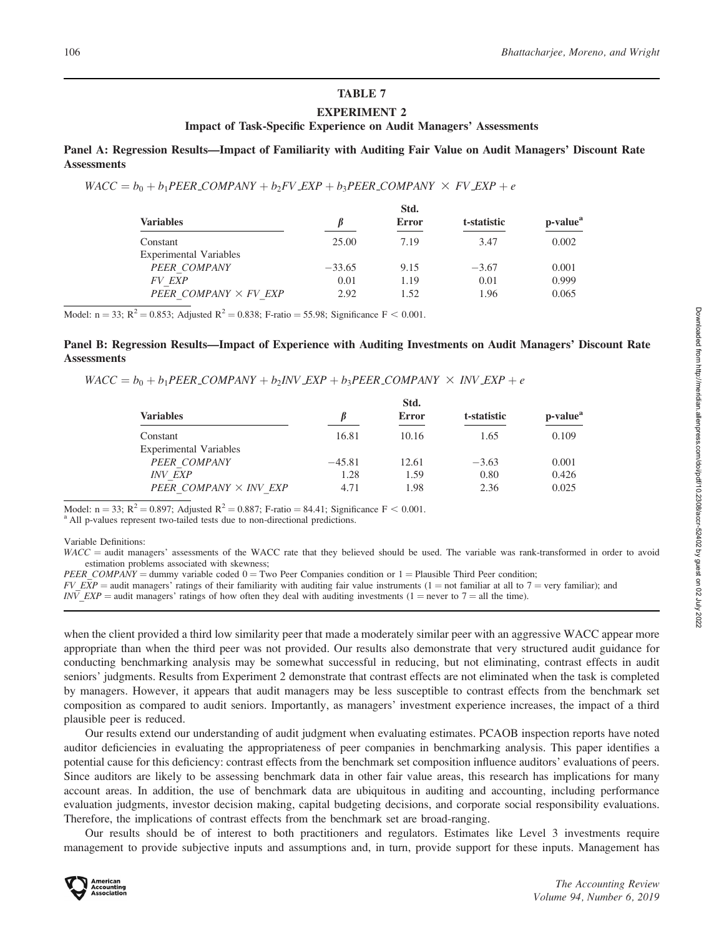## EXPERIMENT 2 Impact of Task-Specific Experience on Audit Managers' Assessments

# Panel A: Regression Results—Impact of Familiarity with Auditing Fair Value on Audit Managers' Discount Rate **Assessments**

 $WACC = b_0 + b_1PEER\text{-}COMPANY + b_2FV\text{-}EXP + b_3PEER\text{-}COMPANY \times FV\text{-}EXP + e$ 

| Std.<br><b>Error</b> |                                   |             |                      |
|----------------------|-----------------------------------|-------------|----------------------|
|                      |                                   | t-statistic | p-value <sup>a</sup> |
|                      | 7.19                              | 3.47        | 0.002                |
|                      |                                   |             |                      |
|                      | 9.15                              | $-3.67$     | 0.001                |
|                      | 1.19                              | 0.01        | 0.999                |
|                      | 1.52                              | 1.96        | 0.065                |
|                      | 25.00<br>$-33.65$<br>0.01<br>2.92 |             |                      |

Model:  $n = 33$ ;  $R^2 = 0.853$ ; Adjusted  $R^2 = 0.838$ ; F-ratio = 55.98; Significance  $F < 0.001$ .

# Panel B: Regression Results—Impact of Experience with Auditing Investments on Audit Managers' Discount Rate **Assessments**

 $WACC = b_0 + b_1PEER\_COMPANY + b_2INV\_EXP + b_3PEER\_COMPANY \times INV\_EXP + e$ 

| <b>Variables</b>              | Std.     |              |             |                      |
|-------------------------------|----------|--------------|-------------|----------------------|
|                               |          | <b>Error</b> | t-statistic | p-value <sup>a</sup> |
| Constant                      | 16.81    | 10.16        | 1.65        | 0.109                |
| Experimental Variables        |          |              |             |                      |
| PEER COMPANY                  | $-45.81$ | 12.61        | $-3.63$     | 0.001                |
| <b>INV EXP</b>                | 1.28     | 1.59         | 0.80        | 0.426                |
| PEER COMPANY $\times$ INV EXP | 4.71     | 1.98         | 2.36        | 0.025                |

Model:  $n = 33$ ;  $R^2 = 0.897$ ; Adjusted  $R^2 = 0.887$ ; F-ratio = 84.41; Significance F < 0.001. <br><sup>a</sup> All p-values represent two-tailed tests due to non-directional predictions.

Variable Definitions:

 $WACC =$  audit managers' assessments of the WACC rate that they believed should be used. The variable was rank-transformed in order to avoid estimation problems associated with skewness;

PEER COMPANY = dummy variable coded  $0 = Two$  Peer Companies condition or  $1 =$  Plausible Third Peer condition:

FV EXP = audit managers' ratings of their familiarity with auditing fair value instruments (1 = not familiar at all to 7 = very familiar); and

INV  $EXP =$  audit managers' ratings of how often they deal with auditing investments (1 = never to 7 = all the time).

when the client provided a third low similarity peer that made a moderately similar peer with an aggressive WACC appear more appropriate than when the third peer was not provided. Our results also demonstrate that very structured audit guidance for conducting benchmarking analysis may be somewhat successful in reducing, but not eliminating, contrast effects in audit seniors' judgments. Results from Experiment 2 demonstrate that contrast effects are not eliminated when the task is completed by managers. However, it appears that audit managers may be less susceptible to contrast effects from the benchmark set composition as compared to audit seniors. Importantly, as managers' investment experience increases, the impact of a third plausible peer is reduced.

Our results extend our understanding of audit judgment when evaluating estimates. PCAOB inspection reports have noted auditor deficiencies in evaluating the appropriateness of peer companies in benchmarking analysis. This paper identifies a potential cause for this deficiency: contrast effects from the benchmark set composition influence auditors' evaluations of peers. Since auditors are likely to be assessing benchmark data in other fair value areas, this research has implications for many account areas. In addition, the use of benchmark data are ubiquitous in auditing and accounting, including performance evaluation judgments, investor decision making, capital budgeting decisions, and corporate social responsibility evaluations. Therefore, the implications of contrast effects from the benchmark set are broad-ranging.

Our results should be of interest to both practitioners and regulators. Estimates like Level 3 investments require management to provide subjective inputs and assumptions and, in turn, provide support for these inputs. Management has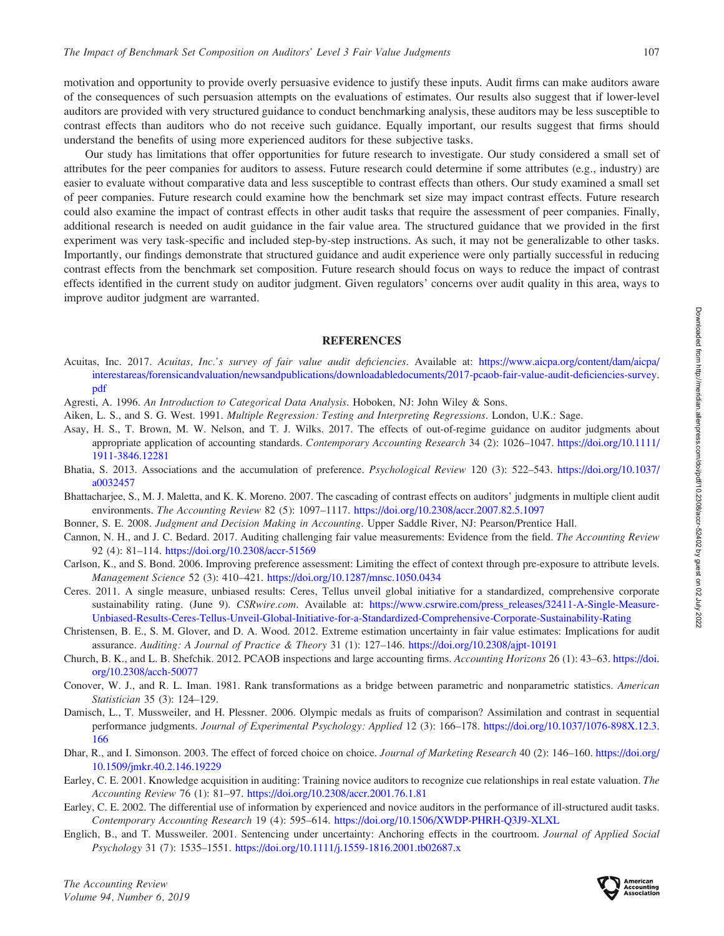<span id="page-16-0"></span>motivation and opportunity to provide overly persuasive evidence to justify these inputs. Audit firms can make auditors aware of the consequences of such persuasion attempts on the evaluations of estimates. Our results also suggest that if lower-level auditors are provided with very structured guidance to conduct benchmarking analysis, these auditors may be less susceptible to contrast effects than auditors who do not receive such guidance. Equally important, our results suggest that firms should understand the benefits of using more experienced auditors for these subjective tasks.

Our study has limitations that offer opportunities for future research to investigate. Our study considered a small set of attributes for the peer companies for auditors to assess. Future research could determine if some attributes (e.g., industry) are easier to evaluate without comparative data and less susceptible to contrast effects than others. Our study examined a small set of peer companies. Future research could examine how the benchmark set size may impact contrast effects. Future research could also examine the impact of contrast effects in other audit tasks that require the assessment of peer companies. Finally, additional research is needed on audit guidance in the fair value area. The structured guidance that we provided in the first experiment was very task-specific and included step-by-step instructions. As such, it may not be generalizable to other tasks. Importantly, our findings demonstrate that structured guidance and audit experience were only partially successful in reducing contrast effects from the benchmark set composition. Future research should focus on ways to reduce the impact of contrast effects identified in the current study on auditor judgment. Given regulators' concerns over audit quality in this area, ways to improve auditor judgment are warranted.

#### REFERENCES

- Acuitas, Inc. 2017. Acuitas, Inc.'s survey of fair value audit deficiencies. Available at: [https://www.aicpa.org/content/dam/aicpa/](https://www.aicpa.org/content/dam/aicpa/interestareas/forensicandvaluation/newsandpublications/downloadabledocuments/2017-pcaob-fair-value-audit-deficiencies-survey.pdf) [interestareas/forensicandvaluation/newsandpublications/downloadabledocuments/2017-pcaob-fair-value-audit-deficiencies-survey.](https://www.aicpa.org/content/dam/aicpa/interestareas/forensicandvaluation/newsandpublications/downloadabledocuments/2017-pcaob-fair-value-audit-deficiencies-survey.pdf) [pdf](https://www.aicpa.org/content/dam/aicpa/interestareas/forensicandvaluation/newsandpublications/downloadabledocuments/2017-pcaob-fair-value-audit-deficiencies-survey.pdf)
- Agresti, A. 1996. An Introduction to Categorical Data Analysis. Hoboken, NJ: John Wiley & Sons.
- Aiken, L. S., and S. G. West. 1991. Multiple Regression: Testing and Interpreting Regressions. London, U.K.: Sage.
- Asay, H. S., T. Brown, M. W. Nelson, and T. J. Wilks. 2017. The effects of out-of-regime guidance on auditor judgments about appropriate application of accounting standards. Contemporary Accounting Research 34 (2): 1026–1047. [https://doi.org/10.1111/](https://doi.org/10.1111/1911-3846.12281) [1911-3846.12281](https://doi.org/10.1111/1911-3846.12281)
- Bhatia, S. 2013. Associations and the accumulation of preference. Psychological Review 120 (3): 522–543. [https://doi.org/10.1037/](https://doi.org/10.1037/a0032457) [a0032457](https://doi.org/10.1037/a0032457)
- Bhattacharjee, S., M. J. Maletta, and K. K. Moreno. 2007. The cascading of contrast effects on auditors' judgments in multiple client audit environments. The Accounting Review 82 (5): 1097–1117. <https://doi.org/10.2308/accr.2007.82.5.1097>
- Bonner, S. E. 2008. Judgment and Decision Making in Accounting. Upper Saddle River, NJ: Pearson/Prentice Hall.
- Cannon, N. H., and J. C. Bedard. 2017. Auditing challenging fair value measurements: Evidence from the field. The Accounting Review 92 (4): 81–114. <https://doi.org/10.2308/accr-51569>
- Carlson, K., and S. Bond. 2006. Improving preference assessment: Limiting the effect of context through pre-exposure to attribute levels. Management Science 52 (3): 410–421. <https://doi.org/10.1287/mnsc.1050.0434>
- Ceres. 2011. A single measure, unbiased results: Ceres, Tellus unveil global initiative for a standardized, comprehensive corporate sustainability rating. (June 9). CSRwire.com. Available at: [https://www.csrwire.com/press\\_releases/32411-A-Single-Measure-](https://www.csrwire.com/press_releases/32411-A-Single-Measure-Unbiased-Results-Ceres-Tellus-Unveil-Global-Initiative-for-a-Standardized-Comprehensive-Corporate-Sustainability-Rating)[Unbiased-Results-Ceres-Tellus-Unveil-Global-Initiative-for-a-Standardized-Comprehensive-Corporate-Sustainability-Rating](https://www.csrwire.com/press_releases/32411-A-Single-Measure-Unbiased-Results-Ceres-Tellus-Unveil-Global-Initiative-for-a-Standardized-Comprehensive-Corporate-Sustainability-Rating)
- Christensen, B. E., S. M. Glover, and D. A. Wood. 2012. Extreme estimation uncertainty in fair value estimates: Implications for audit assurance. Auditing: A Journal of Practice & Theory 31 (1): 127–146. <https://doi.org/10.2308/ajpt-10191>
- Church, B. K., and L. B. Shefchik. 2012. PCAOB inspections and large accounting firms. Accounting Horizons 26 (1): 43–63. [https://doi.](https://doi.org/10.2308/acch-50077) [org/10.2308/acch-50077](https://doi.org/10.2308/acch-50077)
- Conover, W. J., and R. L. Iman. 1981. Rank transformations as a bridge between parametric and nonparametric statistics. American Statistician 35 (3): 124–129.
- Damisch, L., T. Mussweiler, and H. Plessner. 2006. Olympic medals as fruits of comparison? Assimilation and contrast in sequential performance judgments. Journal of Experimental Psychology: Applied 12 (3): 166–178. [https://doi.org/10.1037/1076-898X.12.3.](https://doi.org/10.1037/1076-898X.12.3.166) [166](https://doi.org/10.1037/1076-898X.12.3.166)
- Dhar, R., and I. Simonson. 2003. The effect of forced choice on choice. Journal of Marketing Research 40 (2): 146–160. [https://doi.org/](https://doi.org/10.1509/jmkr.40.2.146.19229) [10.1509/jmkr.40.2.146.19229](https://doi.org/10.1509/jmkr.40.2.146.19229)
- Earley, C. E. 2001. Knowledge acquisition in auditing: Training novice auditors to recognize cue relationships in real estate valuation. The Accounting Review 76 (1): 81–97. <https://doi.org/10.2308/accr.2001.76.1.81>
- Earley, C. E. 2002. The differential use of information by experienced and novice auditors in the performance of ill-structured audit tasks. Contemporary Accounting Research 19 (4): 595–614. <https://doi.org/10.1506/XWDP-PHRH-Q3J9-XLXL>
- Englich, B., and T. Mussweiler. 2001. Sentencing under uncertainty: Anchoring effects in the courtroom. Journal of Applied Social Psychology 31 (7): 1535–1551. <https://doi.org/10.1111/j.1559-1816.2001.tb02687.x>